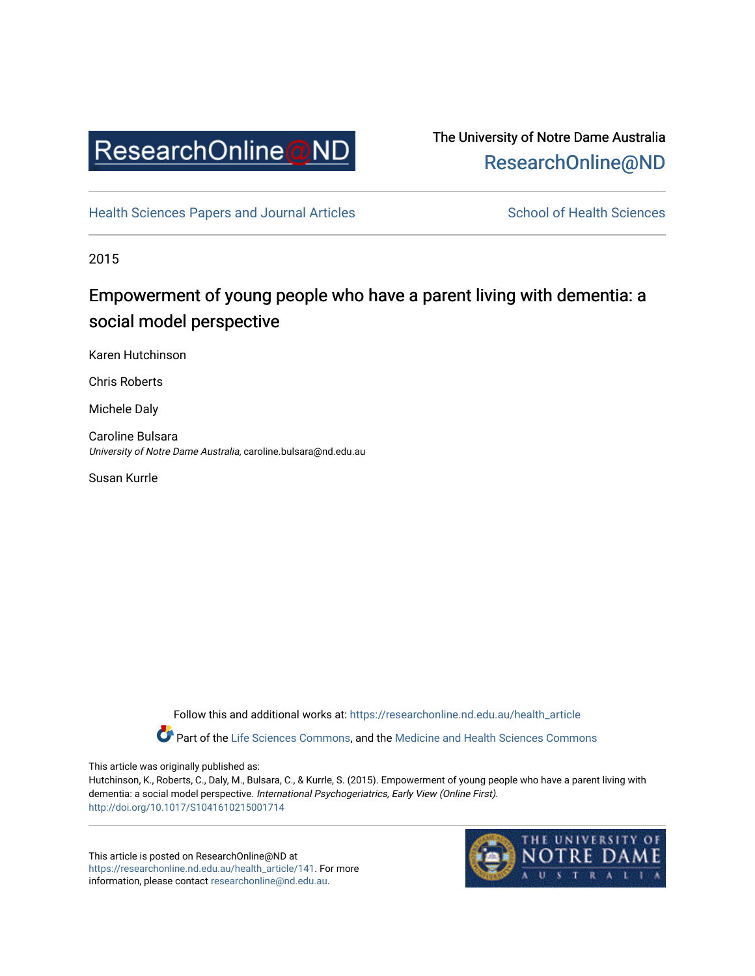

# The University of Notre Dame Australia [ResearchOnline@ND](https://researchonline.nd.edu.au/)

[Health Sciences Papers and Journal Articles](https://researchonline.nd.edu.au/health_article) School of Health Sciences

2015

# Empowerment of young people who have a parent living with dementia: a social model perspective

Karen Hutchinson

Chris Roberts

Michele Daly

Caroline Bulsara University of Notre Dame Australia, caroline.bulsara@nd.edu.au

Susan Kurrle

Follow this and additional works at: [https://researchonline.nd.edu.au/health\\_article](https://researchonline.nd.edu.au/health_article?utm_source=researchonline.nd.edu.au%2Fhealth_article%2F141&utm_medium=PDF&utm_campaign=PDFCoverPages) Part of the [Life Sciences Commons](http://network.bepress.com/hgg/discipline/1016?utm_source=researchonline.nd.edu.au%2Fhealth_article%2F141&utm_medium=PDF&utm_campaign=PDFCoverPages), and the [Medicine and Health Sciences Commons](http://network.bepress.com/hgg/discipline/648?utm_source=researchonline.nd.edu.au%2Fhealth_article%2F141&utm_medium=PDF&utm_campaign=PDFCoverPages) 

This article was originally published as:

Hutchinson, K., Roberts, C., Daly, M., Bulsara, C., & Kurrle, S. (2015). Empowerment of young people who have a parent living with dementia: a social model perspective. International Psychogeriatrics, Early View (Online First). <http://doi.org/10.1017/S1041610215001714>

This article is posted on ResearchOnline@ND at [https://researchonline.nd.edu.au/health\\_article/141](https://researchonline.nd.edu.au/health_article/141). For more information, please contact [researchonline@nd.edu.au.](mailto:researchonline@nd.edu.au)

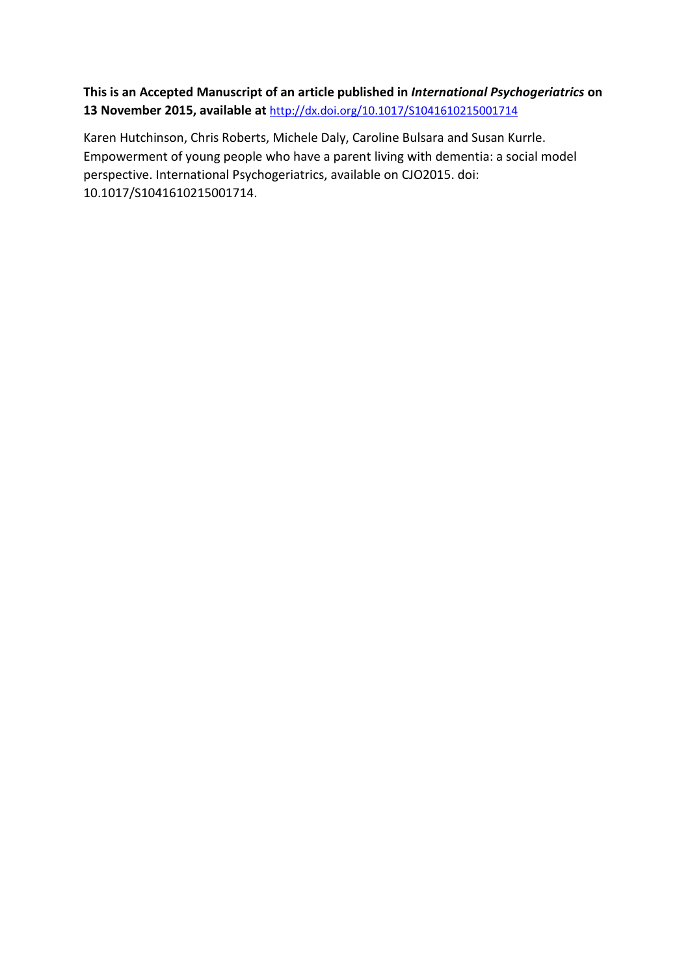**This is an Accepted Manuscript of an article published in** *International Psychogeriatrics* **on 13 November 2015, available at** <http://dx.doi.org/10.1017/S1041610215001714>

Karen Hutchinson, Chris Roberts, Michele Daly, Caroline Bulsara and Susan Kurrle. Empowerment of young people who have a parent living with dementia: a social model perspective. International Psychogeriatrics, available on CJO2015. doi: 10.1017/S1041610215001714.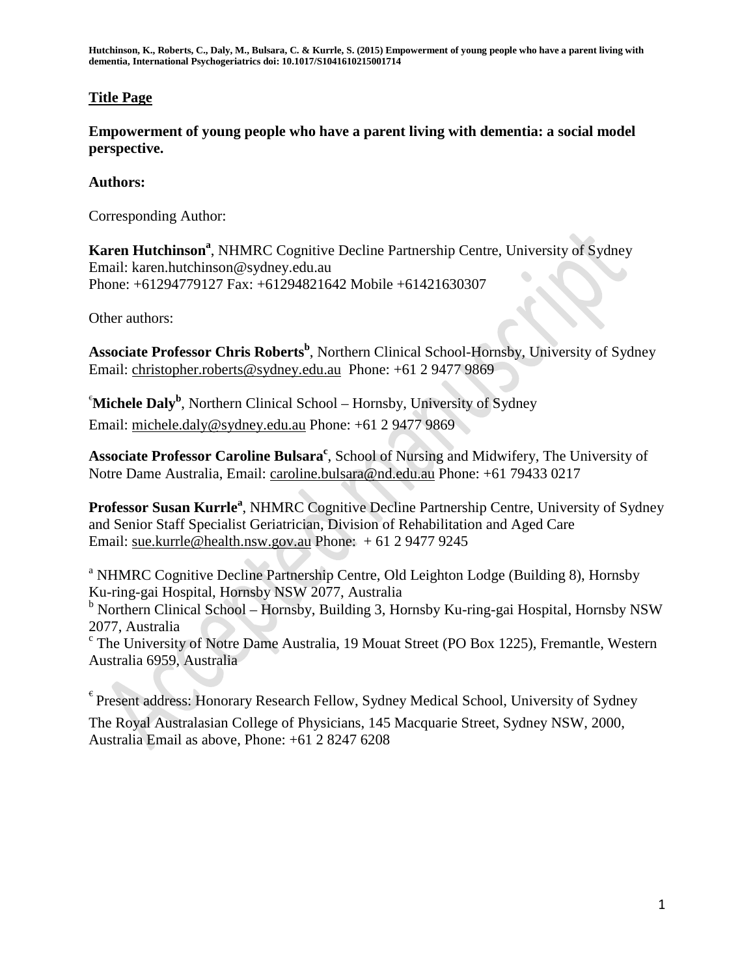## **Title Page**

**Empowerment of young people who have a parent living with dementia: a social model perspective.**

## **Authors:**

Corresponding Author:

Karen Hutchinson<sup>a</sup>, NHMRC Cognitive Decline Partnership Centre, University of Sydney Email: karen.hutchinson@sydney.edu.au Phone: +61294779127 Fax: +61294821642 Mobile +61421630307

Other authors:

**Associate Professor Chris Roberts<sup>b</sup>** , Northern Clinical School-Hornsby, University of Sydney Email: [christopher.roberts@sydney.edu.au](mailto:christopher.roberts@sydney.edu.au) Phone: +61 2 9477 9869

<sup>e</sup>Michele Daly<sup>b</sup>, Northern Clinical School – Hornsby, University of Sydney Email: [michele.daly@sydney.edu.au](mailto:michele.daly@sydney.edu.au) Phone: +61 2 9477 9869

Associate Professor Caroline Bulsara<sup>c</sup>, School of Nursing and Midwifery, The University of Notre Dame Australia, Email: [caroline.bulsara@nd.edu.au](mailto:caroline.bulsara@nd.edu.au) Phone: +61 79433 0217

Professor Susan Kurrle<sup>a</sup>, NHMRC Cognitive Decline Partnership Centre, University of Sydney and Senior Staff Specialist Geriatrician, Division of Rehabilitation and Aged Care Email: [sue.kurrle@health.nsw.gov.au](mailto:sue.kurrle@health.nsw.gov.au) Phone: + 61 2 9477 9245

<sup>a</sup> NHMRC Cognitive Decline Partnership Centre, Old Leighton Lodge (Building 8), Hornsby Ku-ring-gai Hospital, Hornsby NSW 2077, Australia

<sup>b</sup> Northern Clinical School – Hornsby, Building 3, Hornsby Ku-ring-gai Hospital, Hornsby NSW 2077, Australia

 $\textdegree$  The University of Notre Dame Australia, 19 Mouat Street (PO Box 1225), Fremantle, Western Australia 6959, Australia

 $\epsilon$  Present address: Honorary Research Fellow, Sydney Medical School, University of Sydney The Royal Australasian College of Physicians, 145 Macquarie Street, Sydney NSW, 2000, Australia Email as above, Phone: +61 2 8247 6208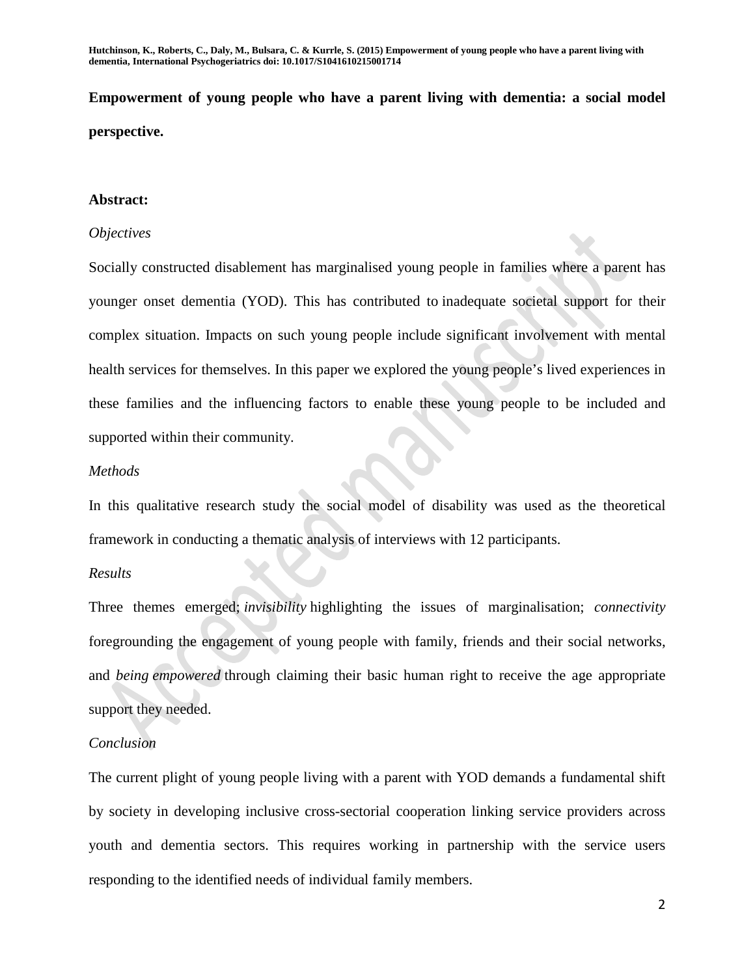**Empowerment of young people who have a parent living with dementia: a social model perspective.**

## **Abstract:**

### *Objectives*

Socially constructed disablement has marginalised young people in families where a parent has younger onset dementia (YOD). This has contributed to inadequate societal support for their complex situation. Impacts on such young people include significant involvement with mental health services for themselves. In this paper we explored the young people's lived experiences in these families and the influencing factors to enable these young people to be included and supported within their community.

### *Methods*

In this qualitative research study the social model of disability was used as the theoretical framework in conducting a thematic analysis of interviews with 12 participants.

### *Results*

Three themes emerged; *invisibility* highlighting the issues of marginalisation; *connectivity*  foregrounding the engagement of young people with family, friends and their social networks, and *being empowered* through claiming their basic human right to receive the age appropriate support they needed.

### *Conclusion*

The current plight of young people living with a parent with YOD demands a fundamental shift by society in developing inclusive cross-sectorial cooperation linking service providers across youth and dementia sectors. This requires working in partnership with the service users responding to the identified needs of individual family members.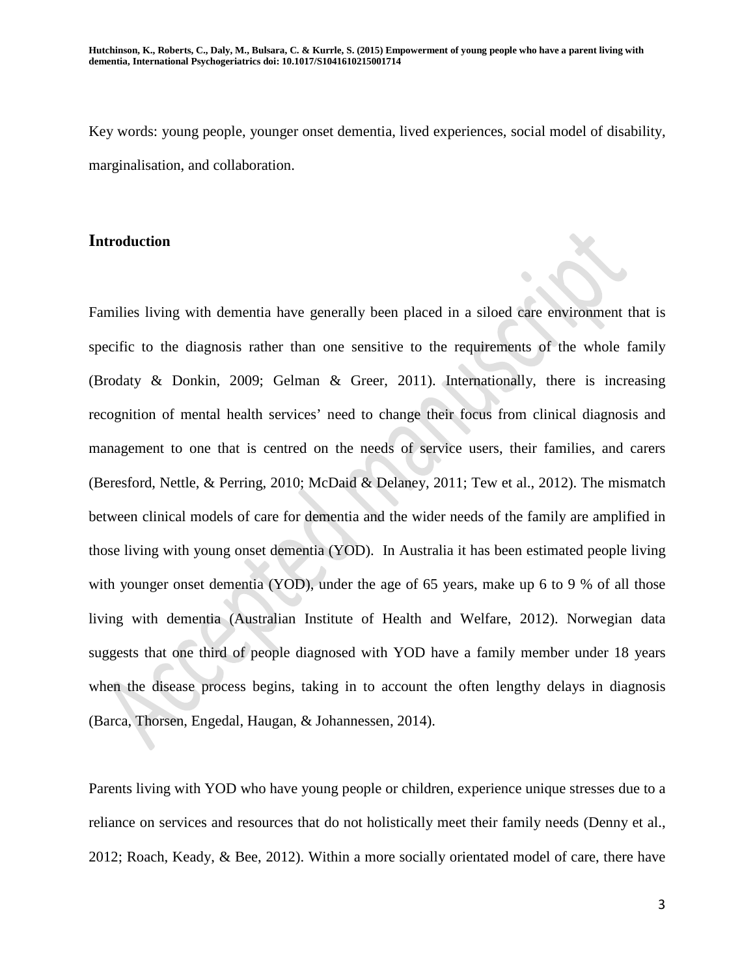Key words: young people, younger onset dementia, lived experiences, social model of disability, marginalisation, and collaboration.

## **Introduction**

Families living with dementia have generally been placed in a siloed care environment that is specific to the diagnosis rather than one sensitive to the requirements of the whole family (Brodaty & Donkin, 2009; Gelman & Greer, 2011). Internationally, there is increasing recognition of mental health services' need to change their focus from clinical diagnosis and management to one that is centred on the needs of service users, their families, and carers (Beresford, Nettle, & Perring, 2010; McDaid & Delaney, 2011; Tew et al., 2012). The mismatch between clinical models of care for dementia and the wider needs of the family are amplified in those living with young onset dementia (YOD). In Australia it has been estimated people living with younger onset dementia (YOD), under the age of 65 years, make up 6 to 9 % of all those living with dementia (Australian Institute of Health and Welfare, 2012). Norwegian data suggests that one third of people diagnosed with YOD have a family member under 18 years when the disease process begins, taking in to account the often lengthy delays in diagnosis (Barca, Thorsen, Engedal, Haugan, & Johannessen, 2014).

Parents living with YOD who have young people or children, experience unique stresses due to a reliance on services and resources that do not holistically meet their family needs (Denny et al., 2012; Roach, Keady, & Bee, 2012). Within a more socially orientated model of care, there have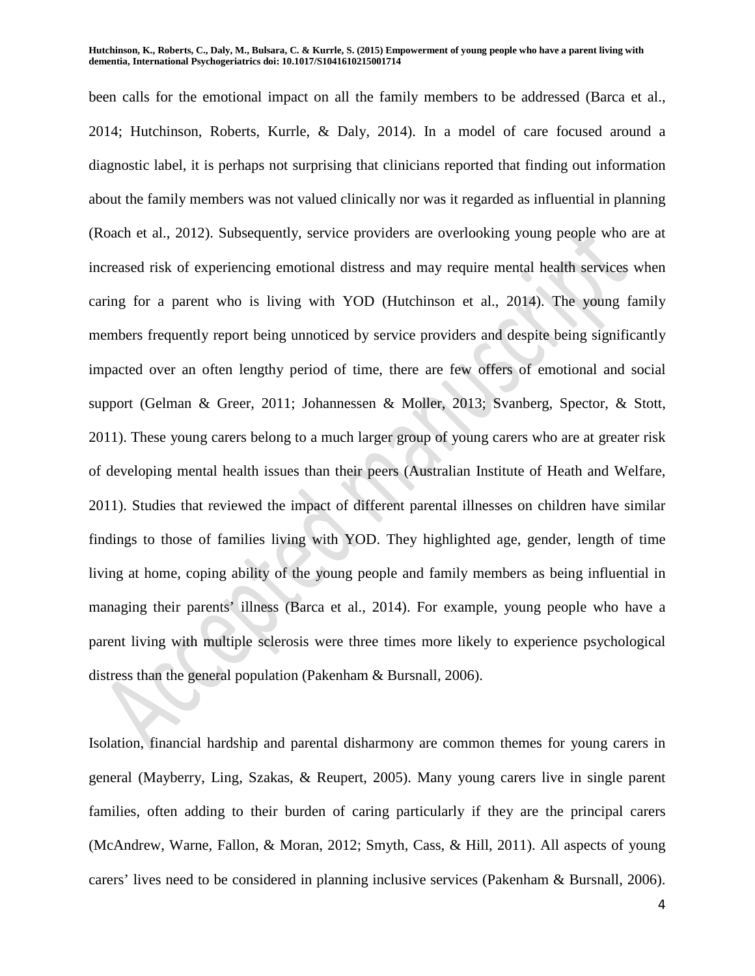been calls for the emotional impact on all the family members to be addressed (Barca et al., 2014; Hutchinson, Roberts, Kurrle, & Daly, 2014). In a model of care focused around a diagnostic label, it is perhaps not surprising that clinicians reported that finding out information about the family members was not valued clinically nor was it regarded as influential in planning (Roach et al., 2012). Subsequently, service providers are overlooking young people who are at increased risk of experiencing emotional distress and may require mental health services when caring for a parent who is living with YOD (Hutchinson et al., 2014). The young family members frequently report being unnoticed by service providers and despite being significantly impacted over an often lengthy period of time, there are few offers of emotional and social support (Gelman & Greer, 2011; Johannessen & Moller, 2013; Svanberg, Spector, & Stott, 2011). These young carers belong to a much larger group of young carers who are at greater risk of developing mental health issues than their peers (Australian Institute of Heath and Welfare, 2011). Studies that reviewed the impact of different parental illnesses on children have similar findings to those of families living with YOD. They highlighted age, gender, length of time living at home, coping ability of the young people and family members as being influential in managing their parents' illness (Barca et al., 2014). For example, young people who have a parent living with multiple sclerosis were three times more likely to experience psychological distress than the general population (Pakenham & Bursnall, 2006).

Isolation, financial hardship and parental disharmony are common themes for young carers in general (Mayberry, Ling, Szakas, & Reupert, 2005). Many young carers live in single parent families, often adding to their burden of caring particularly if they are the principal carers (McAndrew, Warne, Fallon, & Moran, 2012; Smyth, Cass, & Hill, 2011). All aspects of young carers' lives need to be considered in planning inclusive services (Pakenham & Bursnall, 2006).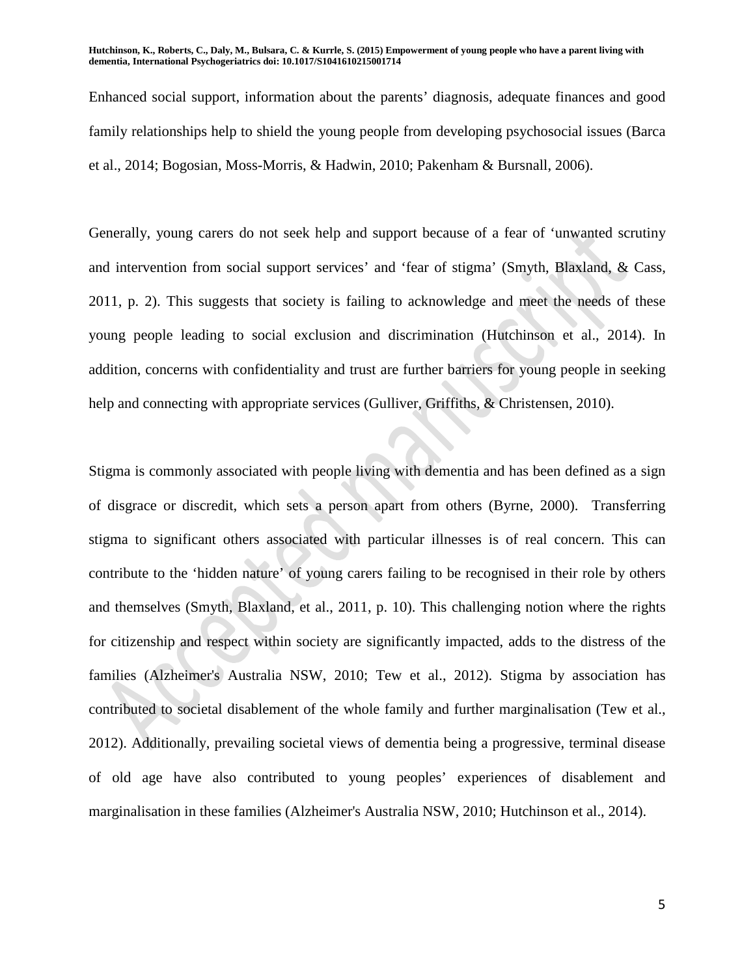Enhanced social support, information about the parents' diagnosis, adequate finances and good family relationships help to shield the young people from developing psychosocial issues (Barca et al., 2014; Bogosian, Moss-Morris, & Hadwin, 2010; Pakenham & Bursnall, 2006).

Generally, young carers do not seek help and support because of a fear of 'unwanted scrutiny and intervention from social support services' and 'fear of stigma' (Smyth, Blaxland, & Cass, 2011, p. 2). This suggests that society is failing to acknowledge and meet the needs of these young people leading to social exclusion and discrimination (Hutchinson et al., 2014). In addition, concerns with confidentiality and trust are further barriers for young people in seeking help and connecting with appropriate services (Gulliver, Griffiths, & Christensen, 2010).

Stigma is commonly associated with people living with dementia and has been defined as a sign of disgrace or discredit, which sets a person apart from others (Byrne, 2000). Transferring stigma to significant others associated with particular illnesses is of real concern. This can contribute to the 'hidden nature' of young carers failing to be recognised in their role by others and themselves (Smyth, Blaxland, et al., 2011, p. 10). This challenging notion where the rights for citizenship and respect within society are significantly impacted, adds to the distress of the families (Alzheimer's Australia NSW, 2010; Tew et al., 2012). Stigma by association has contributed to societal disablement of the whole family and further marginalisation (Tew et al., 2012). Additionally, prevailing societal views of dementia being a progressive, terminal disease of old age have also contributed to young peoples' experiences of disablement and marginalisation in these families (Alzheimer's Australia NSW, 2010; Hutchinson et al., 2014).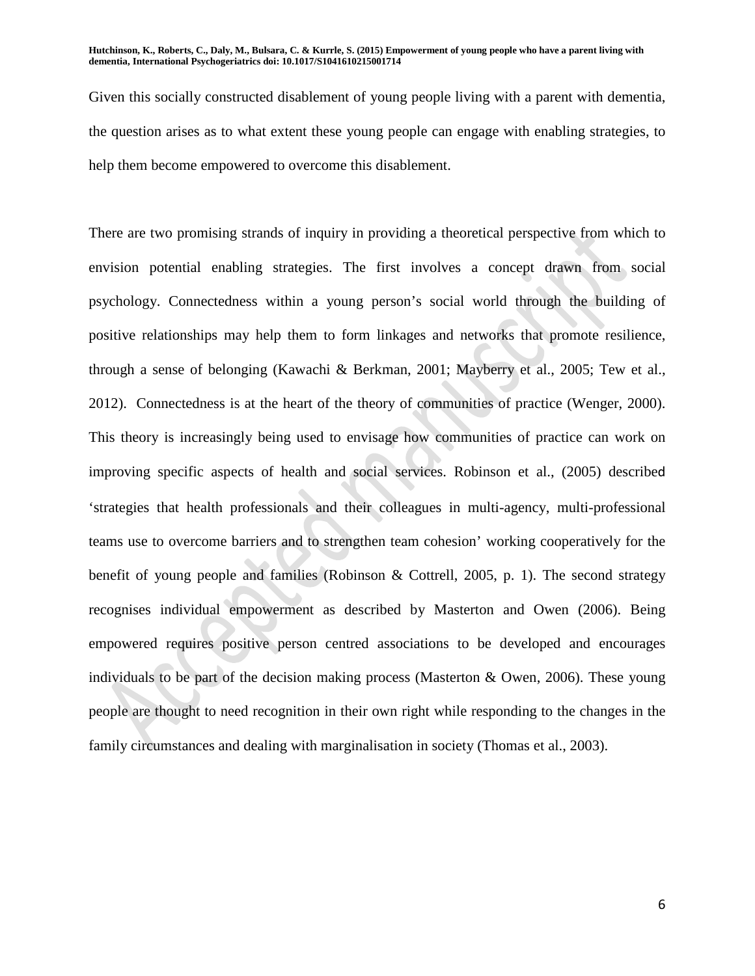Given this socially constructed disablement of young people living with a parent with dementia, the question arises as to what extent these young people can engage with enabling strategies, to help them become empowered to overcome this disablement.

There are two promising strands of inquiry in providing a theoretical perspective from which to envision potential enabling strategies. The first involves a concept drawn from social psychology. Connectedness within a young person's social world through the building of positive relationships may help them to form linkages and networks that promote resilience, through a sense of belonging (Kawachi & Berkman, 2001; Mayberry et al., 2005; Tew et al., 2012). Connectedness is at the heart of the theory of communities of practice (Wenger, 2000). This theory is increasingly being used to envisage how communities of practice can work on improving specific aspects of health and social services. Robinson et al., (2005) described 'strategies that health professionals and their colleagues in multi-agency, multi-professional teams use to overcome barriers and to strengthen team cohesion' working cooperatively for the benefit of young people and families (Robinson & Cottrell, 2005, p. 1). The second strategy recognises individual empowerment as described by Masterton and Owen (2006). Being empowered requires positive person centred associations to be developed and encourages individuals to be part of the decision making process (Masterton & Owen, 2006). These young people are thought to need recognition in their own right while responding to the changes in the family circumstances and dealing with marginalisation in society (Thomas et al., 2003).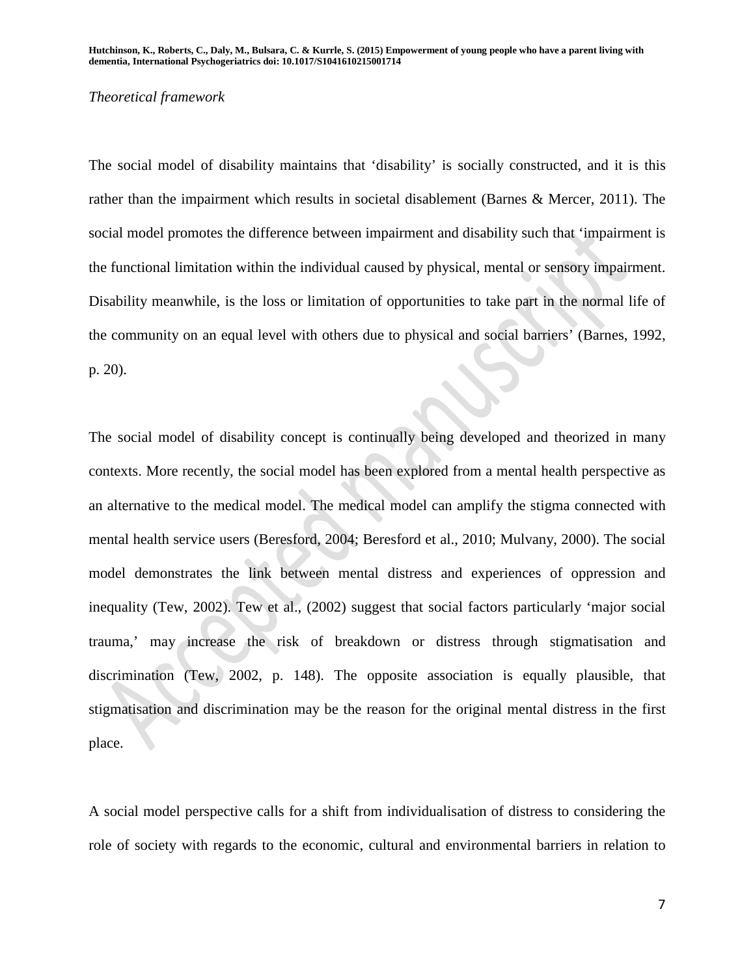#### *Theoretical framework*

The social model of disability maintains that 'disability' is socially constructed, and it is this rather than the impairment which results in societal disablement (Barnes & Mercer, 2011). The social model promotes the difference between impairment and disability such that 'impairment is the functional limitation within the individual caused by physical, mental or sensory impairment. Disability meanwhile, is the loss or limitation of opportunities to take part in the normal life of the community on an equal level with others due to physical and social barriers' (Barnes, 1992, p. 20).

The social model of disability concept is continually being developed and theorized in many contexts. More recently, the social model has been explored from a mental health perspective as an alternative to the medical model. The medical model can amplify the stigma connected with mental health service users (Beresford, 2004; Beresford et al., 2010; Mulvany, 2000). The social model demonstrates the link between mental distress and experiences of oppression and inequality (Tew, 2002). Tew et al., (2002) suggest that social factors particularly 'major social trauma,' may increase the risk of breakdown or distress through stigmatisation and discrimination (Tew, 2002, p. 148). The opposite association is equally plausible, that stigmatisation and discrimination may be the reason for the original mental distress in the first place.

A social model perspective calls for a shift from individualisation of distress to considering the role of society with regards to the economic, cultural and environmental barriers in relation to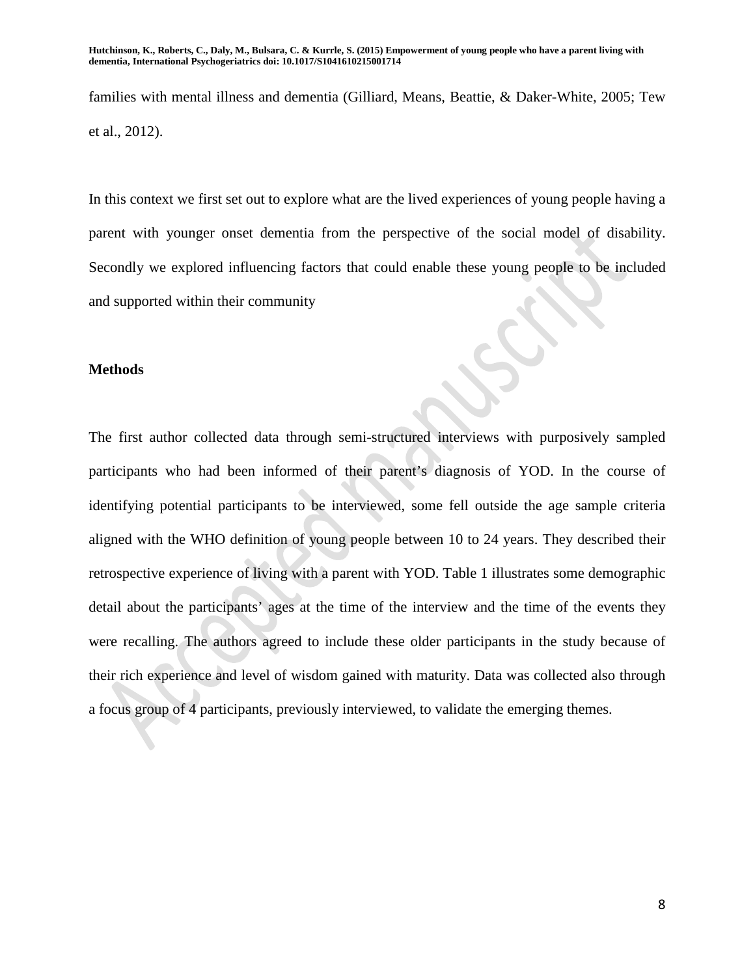families with mental illness and dementia (Gilliard, Means, Beattie, & Daker-White, 2005; Tew et al., 2012).

In this context we first set out to explore what are the lived experiences of young people having a parent with younger onset dementia from the perspective of the social model of disability. Secondly we explored influencing factors that could enable these young people to be included and supported within their community

### **Methods**

The first author collected data through semi-structured interviews with purposively sampled participants who had been informed of their parent's diagnosis of YOD. In the course of identifying potential participants to be interviewed, some fell outside the age sample criteria aligned with the WHO definition of young people between 10 to 24 years. They described their retrospective experience of living with a parent with YOD. Table 1 illustrates some demographic detail about the participants' ages at the time of the interview and the time of the events they were recalling. The authors agreed to include these older participants in the study because of their rich experience and level of wisdom gained with maturity. Data was collected also through a focus group of 4 participants, previously interviewed, to validate the emerging themes.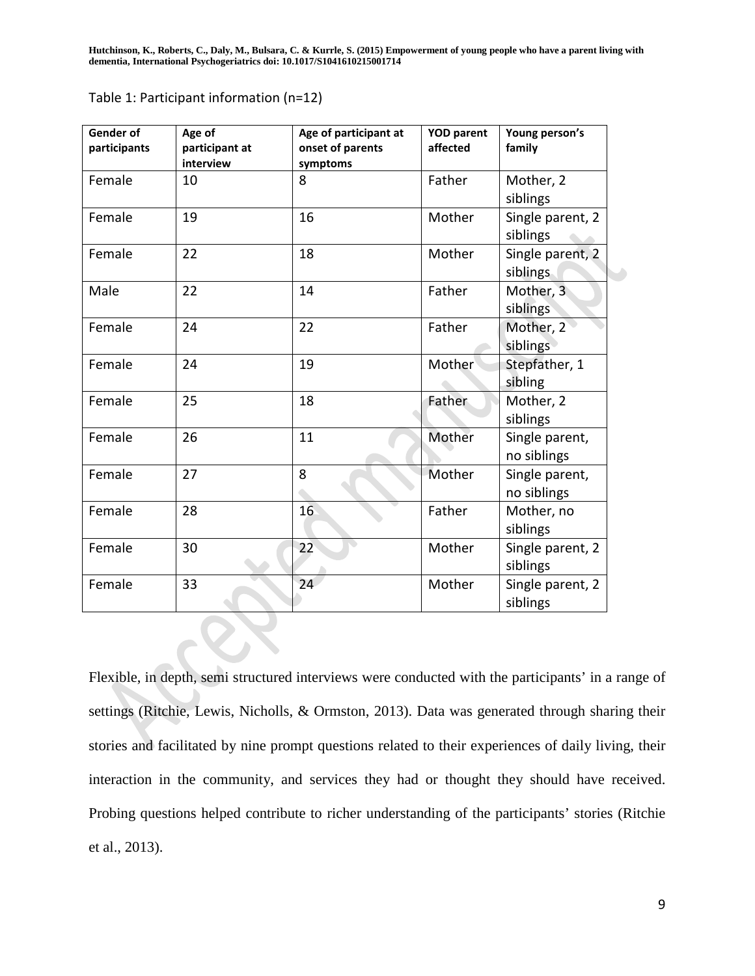| <b>Gender of</b><br>participants | Age of<br>participant at<br>interview | Age of participant at<br>onset of parents<br>symptoms | <b>YOD parent</b><br>affected | Young person's<br>family      |
|----------------------------------|---------------------------------------|-------------------------------------------------------|-------------------------------|-------------------------------|
| Female                           | 10                                    | 8                                                     | Father                        | Mother, 2<br>siblings         |
| Female                           | 19                                    | 16                                                    | Mother                        | Single parent, 2<br>siblings  |
| Female                           | 22                                    | 18                                                    | Mother                        | Single parent, 2<br>siblings  |
| Male                             | 22                                    | 14                                                    | Father                        | Mother, 3<br>siblings         |
| Female                           | 24                                    | 22                                                    | Father                        | Mother, 2<br>siblings         |
| Female                           | 24                                    | 19                                                    | Mother                        | Stepfather, 1<br>sibling      |
| Female                           | 25                                    | 18                                                    | Father                        | Mother, 2<br>siblings         |
| Female                           | 26                                    | 11                                                    | Mother                        | Single parent,<br>no siblings |
| Female                           | 27                                    | 8                                                     | Mother                        | Single parent,<br>no siblings |
| Female                           | 28                                    | 16                                                    | Father                        | Mother, no<br>siblings        |
| Female                           | 30                                    | 22                                                    | Mother                        | Single parent, 2<br>siblings  |
| Female                           | 33                                    | 24                                                    | Mother                        | Single parent, 2<br>siblings  |

Table 1: Participant information (n=12)

Flexible, in depth, semi structured interviews were conducted with the participants' in a range of settings (Ritchie, Lewis, Nicholls, & Ormston, 2013). Data was generated through sharing their stories and facilitated by nine prompt questions related to their experiences of daily living, their interaction in the community, and services they had or thought they should have received. Probing questions helped contribute to richer understanding of the participants' stories (Ritchie et al., 2013).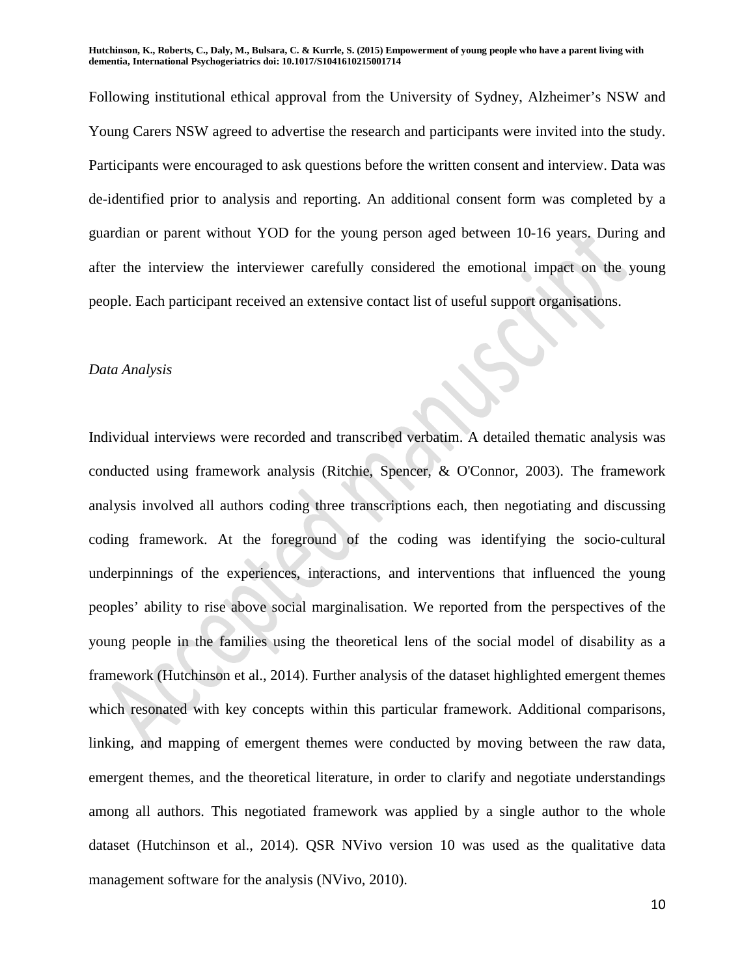Following institutional ethical approval from the University of Sydney, Alzheimer's NSW and Young Carers NSW agreed to advertise the research and participants were invited into the study. Participants were encouraged to ask questions before the written consent and interview. Data was de-identified prior to analysis and reporting. An additional consent form was completed by a guardian or parent without YOD for the young person aged between 10-16 years. During and after the interview the interviewer carefully considered the emotional impact on the young people. Each participant received an extensive contact list of useful support organisations.

#### *Data Analysis*

Individual interviews were recorded and transcribed verbatim. A detailed thematic analysis was conducted using framework analysis (Ritchie, Spencer, & O'Connor, 2003). The framework analysis involved all authors coding three transcriptions each, then negotiating and discussing coding framework. At the foreground of the coding was identifying the socio-cultural underpinnings of the experiences, interactions, and interventions that influenced the young peoples' ability to rise above social marginalisation. We reported from the perspectives of the young people in the families using the theoretical lens of the social model of disability as a framework (Hutchinson et al., 2014). Further analysis of the dataset highlighted emergent themes which resonated with key concepts within this particular framework. Additional comparisons, linking, and mapping of emergent themes were conducted by moving between the raw data, emergent themes, and the theoretical literature, in order to clarify and negotiate understandings among all authors. This negotiated framework was applied by a single author to the whole dataset (Hutchinson et al., 2014). QSR NVivo version 10 was used as the qualitative data management software for the analysis (NVivo, 2010).

10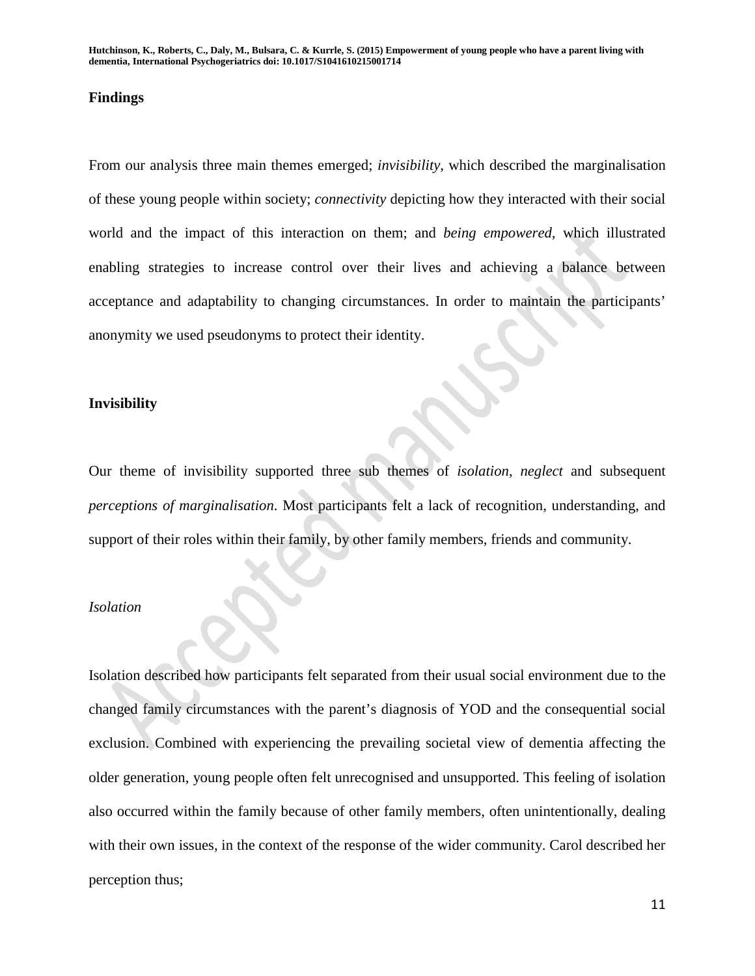#### **Findings**

From our analysis three main themes emerged; *invisibility,* which described the marginalisation of these young people within society; *connectivity* depicting how they interacted with their social world and the impact of this interaction on them; and *being empowered,* which illustrated enabling strategies to increase control over their lives and achieving a balance between acceptance and adaptability to changing circumstances. In order to maintain the participants' anonymity we used pseudonyms to protect their identity.

#### **Invisibility**

Our theme of invisibility supported three sub themes of *isolation*, *neglect* and subsequent *perceptions of marginalisation*. Most participants felt a lack of recognition, understanding, and support of their roles within their family, by other family members, friends and community.

#### *Isolation*

Isolation described how participants felt separated from their usual social environment due to the changed family circumstances with the parent's diagnosis of YOD and the consequential social exclusion. Combined with experiencing the prevailing societal view of dementia affecting the older generation, young people often felt unrecognised and unsupported. This feeling of isolation also occurred within the family because of other family members, often unintentionally, dealing with their own issues, in the context of the response of the wider community. Carol described her perception thus;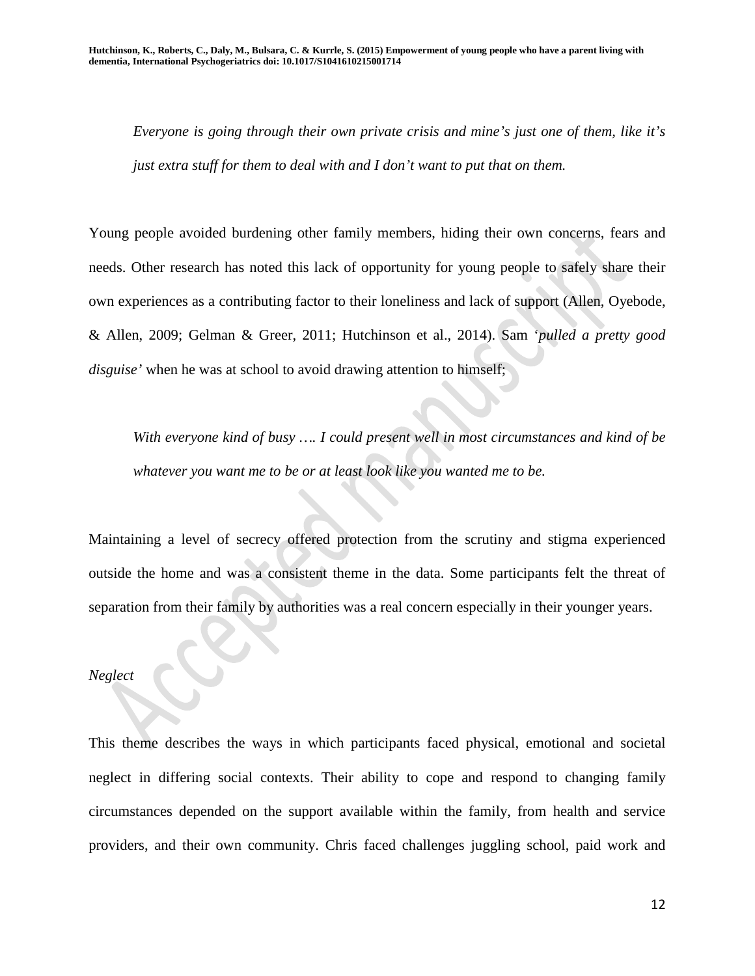*Everyone is going through their own private crisis and mine's just one of them, like it's just extra stuff for them to deal with and I don't want to put that on them.* 

Young people avoided burdening other family members, hiding their own concerns, fears and needs. Other research has noted this lack of opportunity for young people to safely share their own experiences as a contributing factor to their loneliness and lack of support (Allen, Oyebode, & Allen, 2009; Gelman & Greer, 2011; Hutchinson et al., 2014). Sam '*pulled a pretty good disguise'* when he was at school to avoid drawing attention to himself;

*With everyone kind of busy …. I could present well in most circumstances and kind of be whatever you want me to be or at least look like you wanted me to be.*

Maintaining a level of secrecy offered protection from the scrutiny and stigma experienced outside the home and was a consistent theme in the data. Some participants felt the threat of separation from their family by authorities was a real concern especially in their younger years.

## *Neglect*

This theme describes the ways in which participants faced physical, emotional and societal neglect in differing social contexts. Their ability to cope and respond to changing family circumstances depended on the support available within the family, from health and service providers, and their own community. Chris faced challenges juggling school, paid work and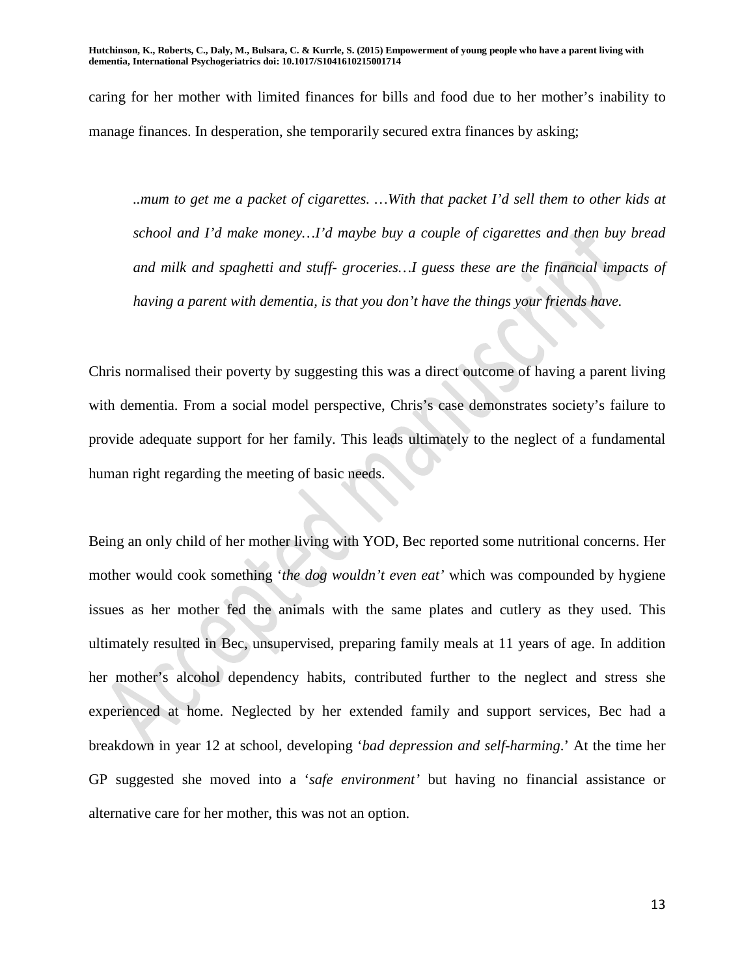caring for her mother with limited finances for bills and food due to her mother's inability to manage finances. In desperation, she temporarily secured extra finances by asking;

*..mum to get me a packet of cigarettes. …With that packet I'd sell them to other kids at school and I'd make money…I'd maybe buy a couple of cigarettes and then buy bread and milk and spaghetti and stuff- groceries…I guess these are the financial impacts of having a parent with dementia, is that you don't have the things your friends have.*

Chris normalised their poverty by suggesting this was a direct outcome of having a parent living with dementia. From a social model perspective, Chris's case demonstrates society's failure to provide adequate support for her family. This leads ultimately to the neglect of a fundamental human right regarding the meeting of basic needs.

Being an only child of her mother living with YOD, Bec reported some nutritional concerns. Her mother would cook something '*the dog wouldn't even eat'* which was compounded by hygiene issues as her mother fed the animals with the same plates and cutlery as they used. This ultimately resulted in Bec, unsupervised, preparing family meals at 11 years of age. In addition her mother's alcohol dependency habits, contributed further to the neglect and stress she experienced at home. Neglected by her extended family and support services, Bec had a breakdown in year 12 at school, developing '*bad depression and self-harming*.' At the time her GP suggested she moved into a '*safe environment'* but having no financial assistance or alternative care for her mother, this was not an option.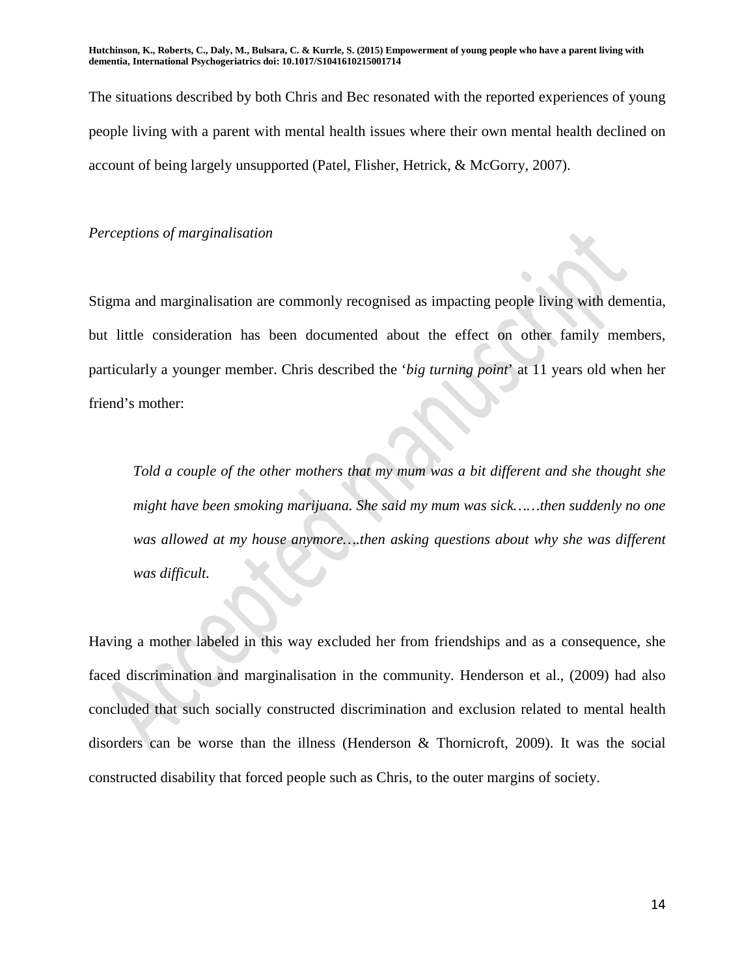The situations described by both Chris and Bec resonated with the reported experiences of young people living with a parent with mental health issues where their own mental health declined on account of being largely unsupported (Patel, Flisher, Hetrick, & McGorry, 2007).

*Perceptions of marginalisation*

Stigma and marginalisation are commonly recognised as impacting people living with dementia, but little consideration has been documented about the effect on other family members, particularly a younger member. Chris described the '*big turning point*' at 11 years old when her friend's mother:

*Told a couple of the other mothers that my mum was a bit different and she thought she might have been smoking marijuana. She said my mum was sick……then suddenly no one was allowed at my house anymore….then asking questions about why she was different was difficult.* 

Having a mother labeled in this way excluded her from friendships and as a consequence, she faced discrimination and marginalisation in the community. Henderson et al., (2009) had also concluded that such socially constructed discrimination and exclusion related to mental health disorders can be worse than the illness (Henderson & Thornicroft, 2009). It was the social constructed disability that forced people such as Chris, to the outer margins of society.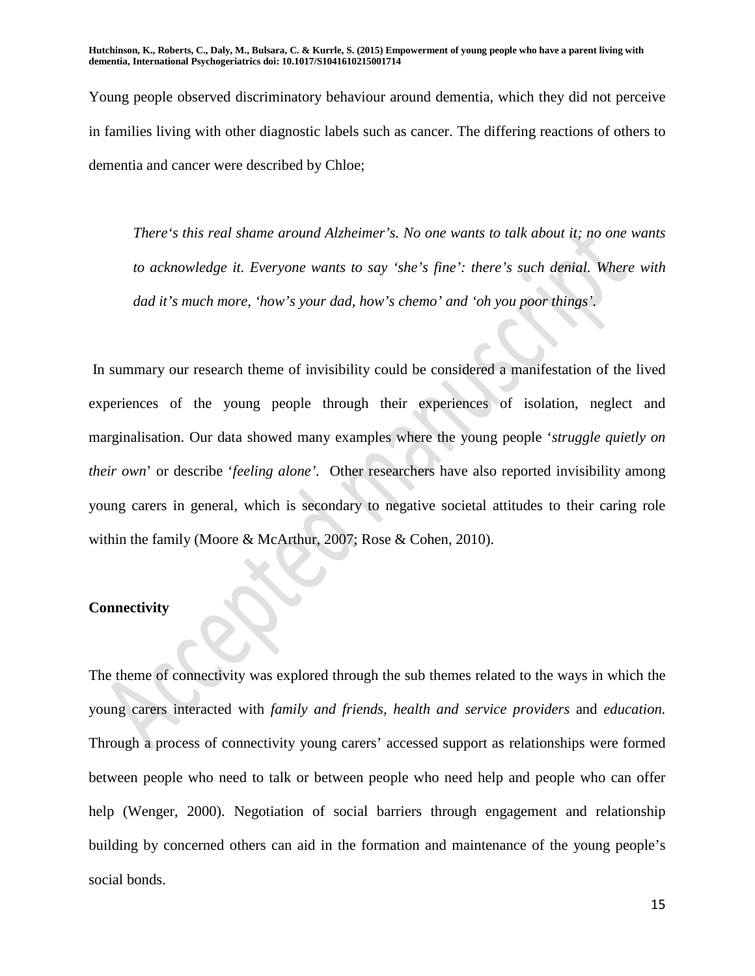Young people observed discriminatory behaviour around dementia, which they did not perceive in families living with other diagnostic labels such as cancer. The differing reactions of others to dementia and cancer were described by Chloe;

*There's this real shame around Alzheimer's. No one wants to talk about it; no one wants to acknowledge it. Everyone wants to say 'she's fine': there's such denial. Where with dad it's much more, 'how's your dad, how's chemo' and 'oh you poor things'.*

In summary our research theme of invisibility could be considered a manifestation of the lived experiences of the young people through their experiences of isolation, neglect and marginalisation. Our data showed many examples where the young people '*struggle quietly on their own*' or describe '*feeling alone'.* Other researchers have also reported invisibility among young carers in general, which is secondary to negative societal attitudes to their caring role within the family (Moore & McArthur, 2007; Rose & Cohen, 2010).

#### **Connectivity**

The theme of connectivity was explored through the sub themes related to the ways in which the young carers interacted with *family and friends, health and service providers* and *education.* Through a process of connectivity young carers' accessed support as relationships were formed between people who need to talk or between people who need help and people who can offer help (Wenger, 2000). Negotiation of social barriers through engagement and relationship building by concerned others can aid in the formation and maintenance of the young people's social bonds.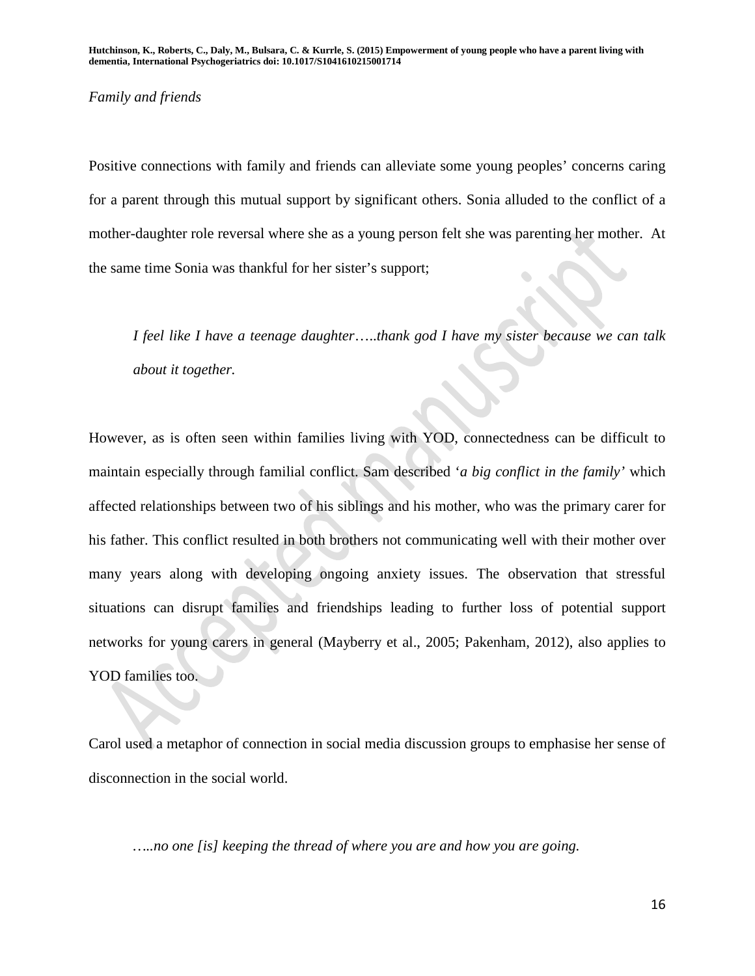### *Family and friends*

Positive connections with family and friends can alleviate some young peoples' concerns caring for a parent through this mutual support by significant others. Sonia alluded to the conflict of a mother-daughter role reversal where she as a young person felt she was parenting her mother. At the same time Sonia was thankful for her sister's support;

*I feel like I have a teenage daughter*…..*thank god I have my sister because we can talk about it together.*

However, as is often seen within families living with YOD, connectedness can be difficult to maintain especially through familial conflict. Sam described '*a big conflict in the family'* which affected relationships between two of his siblings and his mother, who was the primary carer for his father. This conflict resulted in both brothers not communicating well with their mother over many years along with developing ongoing anxiety issues. The observation that stressful situations can disrupt families and friendships leading to further loss of potential support networks for young carers in general (Mayberry et al., 2005; Pakenham, 2012), also applies to YOD families too.

Carol used a metaphor of connection in social media discussion groups to emphasise her sense of disconnection in the social world.

*…..no one [is] keeping the thread of where you are and how you are going.*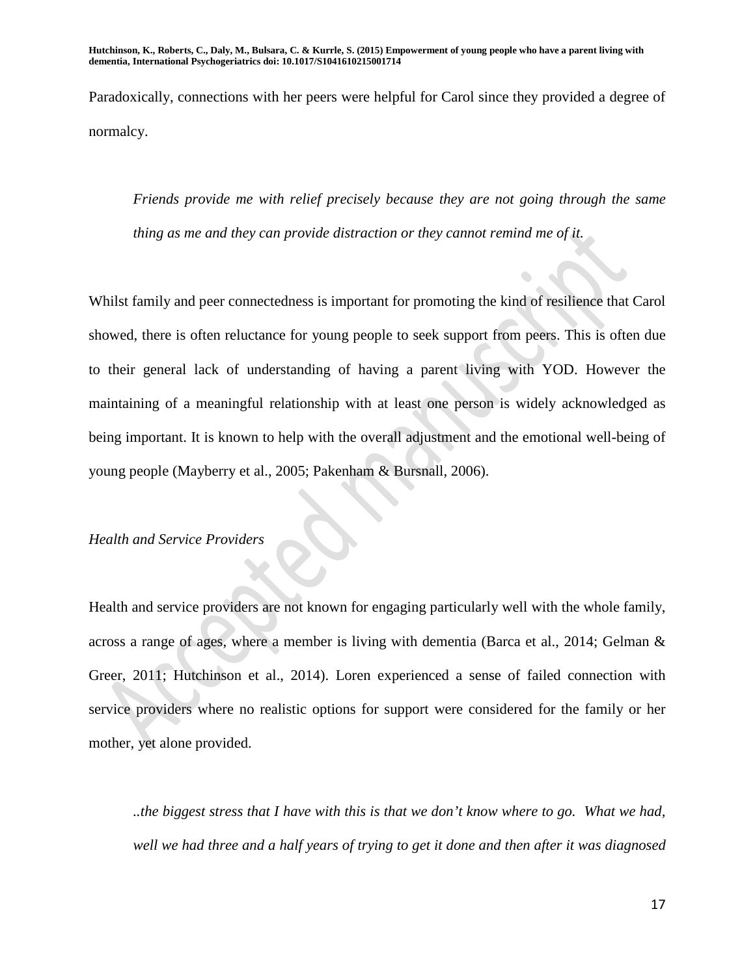Paradoxically, connections with her peers were helpful for Carol since they provided a degree of normalcy.

*Friends provide me with relief precisely because they are not going through the same thing as me and they can provide distraction or they cannot remind me of it.*

Whilst family and peer connectedness is important for promoting the kind of resilience that Carol showed, there is often reluctance for young people to seek support from peers. This is often due to their general lack of understanding of having a parent living with YOD. However the maintaining of a meaningful relationship with at least one person is widely acknowledged as being important. It is known to help with the overall adjustment and the emotional well-being of young people (Mayberry et al., 2005; Pakenham & Bursnall, 2006).

### *Health and Service Providers*

Health and service providers are not known for engaging particularly well with the whole family, across a range of ages, where a member is living with dementia (Barca et al., 2014; Gelman & Greer, 2011; Hutchinson et al., 2014). Loren experienced a sense of failed connection with service providers where no realistic options for support were considered for the family or her mother, yet alone provided.

*..the biggest stress that I have with this is that we don't know where to go. What we had, well we had three and a half years of trying to get it done and then after it was diagnosed*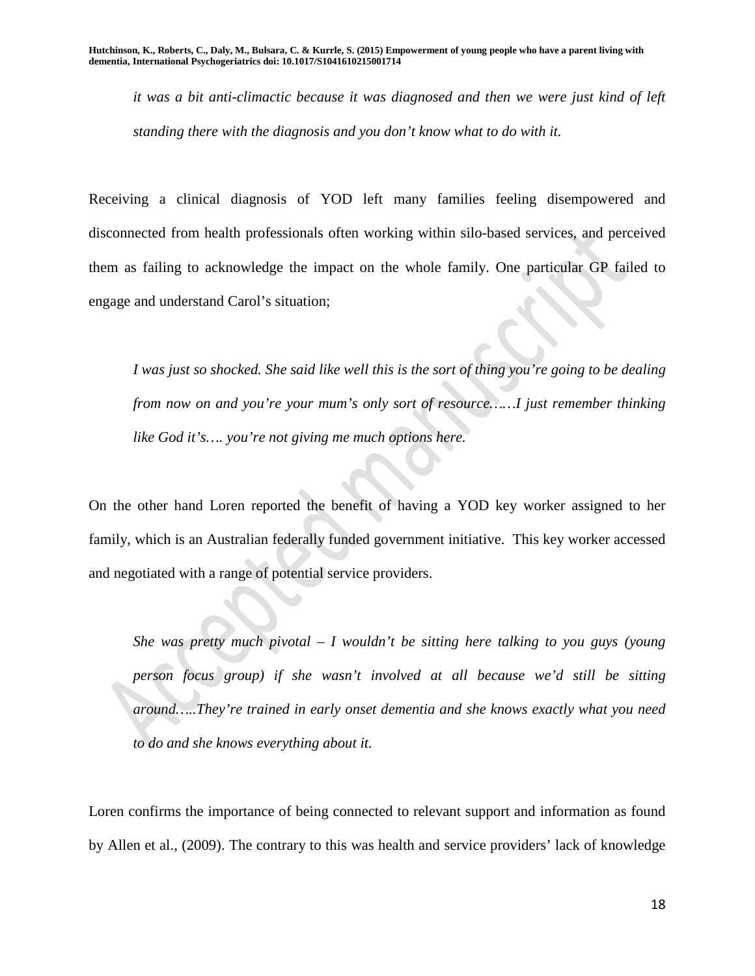*it was a bit anti-climactic because it was diagnosed and then we were just kind of left standing there with the diagnosis and you don't know what to do with it.* 

Receiving a clinical diagnosis of YOD left many families feeling disempowered and disconnected from health professionals often working within silo-based services, and perceived them as failing to acknowledge the impact on the whole family. One particular GP failed to engage and understand Carol's situation;

*I was just so shocked. She said like well this is the sort of thing you're going to be dealing from now on and you're your mum's only sort of resource……I just remember thinking like God it's…. you're not giving me much options here.*

On the other hand Loren reported the benefit of having a YOD key worker assigned to her family, which is an Australian federally funded government initiative. This key worker accessed and negotiated with a range of potential service providers.

*She was pretty much pivotal – I wouldn't be sitting here talking to you guys (young person focus group) if she wasn't involved at all because we'd still be sitting around…..They're trained in early onset dementia and she knows exactly what you need to do and she knows everything about it.*

Loren confirms the importance of being connected to relevant support and information as found by Allen et al., (2009). The contrary to this was health and service providers' lack of knowledge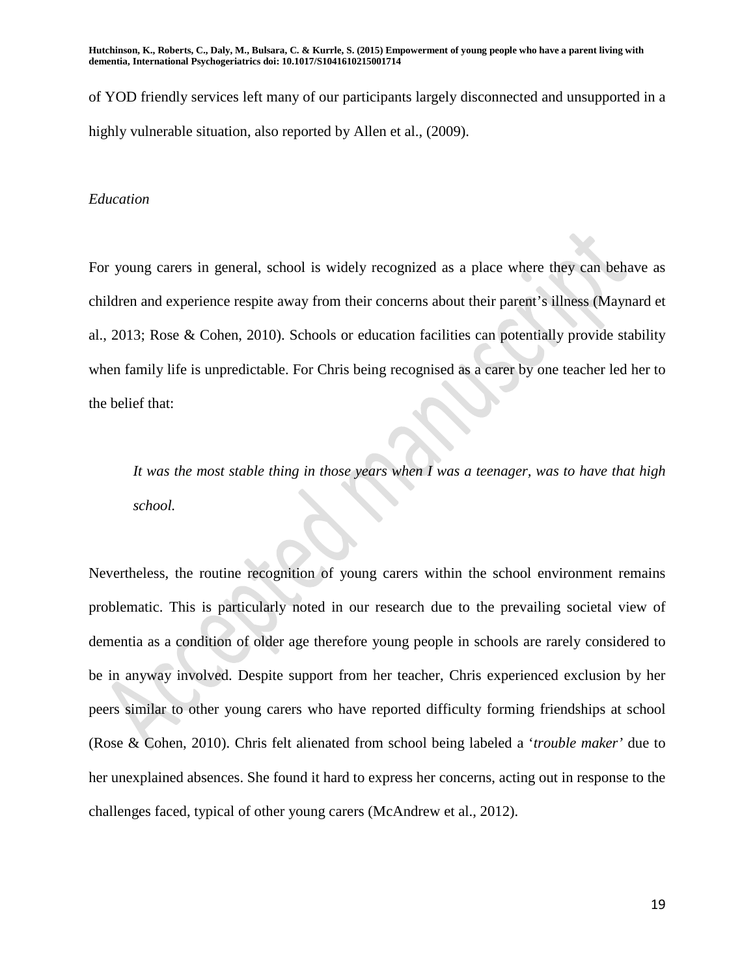of YOD friendly services left many of our participants largely disconnected and unsupported in a highly vulnerable situation, also reported by Allen et al., (2009).

#### *Education*

For young carers in general, school is widely recognized as a place where they can behave as children and experience respite away from their concerns about their parent's illness (Maynard et al., 2013; Rose & Cohen, 2010). Schools or education facilities can potentially provide stability when family life is unpredictable. For Chris being recognised as a carer by one teacher led her to the belief that:

*It was the most stable thing in those years when I was a teenager, was to have that high school.*

Nevertheless, the routine recognition of young carers within the school environment remains problematic. This is particularly noted in our research due to the prevailing societal view of dementia as a condition of older age therefore young people in schools are rarely considered to be in anyway involved. Despite support from her teacher, Chris experienced exclusion by her peers similar to other young carers who have reported difficulty forming friendships at school (Rose & Cohen, 2010). Chris felt alienated from school being labeled a '*trouble maker'* due to her unexplained absences. She found it hard to express her concerns, acting out in response to the challenges faced, typical of other young carers (McAndrew et al., 2012).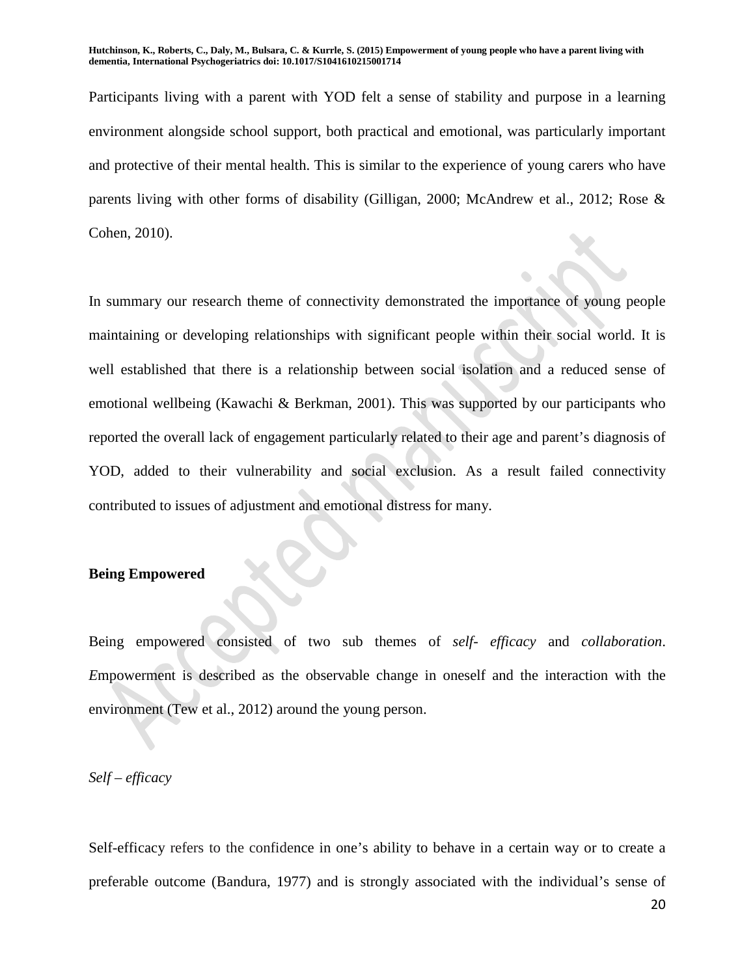Participants living with a parent with YOD felt a sense of stability and purpose in a learning environment alongside school support, both practical and emotional, was particularly important and protective of their mental health. This is similar to the experience of young carers who have parents living with other forms of disability (Gilligan, 2000; McAndrew et al., 2012; Rose & Cohen, 2010).

In summary our research theme of connectivity demonstrated the importance of young people maintaining or developing relationships with significant people within their social world. It is well established that there is a relationship between social isolation and a reduced sense of emotional wellbeing (Kawachi & Berkman, 2001). This was supported by our participants who reported the overall lack of engagement particularly related to their age and parent's diagnosis of YOD, added to their vulnerability and social exclusion. As a result failed connectivity contributed to issues of adjustment and emotional distress for many.

#### **Being Empowered**

Being empowered consisted of two sub themes of *self- efficacy* and *collaboration*. *E*mpowerment is described as the observable change in oneself and the interaction with the environment (Tew et al., 2012) around the young person.

#### *Self – efficacy*

Self-efficacy refers to the confidence in one's ability to behave in a certain way or to create a preferable outcome (Bandura, 1977) and is strongly associated with the individual's sense of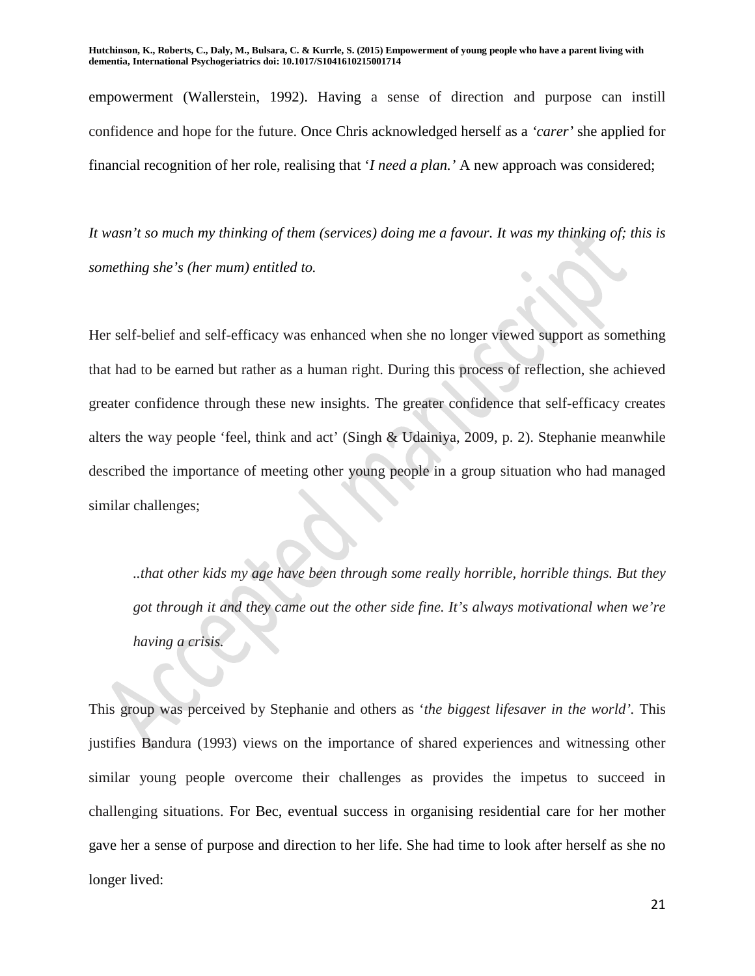empowerment (Wallerstein, 1992). Having a sense of direction and purpose can instill confidence and hope for the future. Once Chris acknowledged herself as a *'carer'* she applied for financial recognition of her role, realising that '*I need a plan.'* A new approach was considered;

*It wasn't so much my thinking of them (services) doing me a favour. It was my thinking of; this is something she's (her mum) entitled to.*

Her self-belief and self-efficacy was enhanced when she no longer viewed support as something that had to be earned but rather as a human right. During this process of reflection, she achieved greater confidence through these new insights. The greater confidence that self-efficacy creates alters the way people 'feel, think and act' (Singh & Udainiya, 2009, p. 2). Stephanie meanwhile described the importance of meeting other young people in a group situation who had managed similar challenges;

*..that other kids my age have been through some really horrible, horrible things. But they got through it and they came out the other side fine. It's always motivational when we're having a crisis.*

This group was perceived by Stephanie and others as '*the biggest lifesaver in the world'.* This justifies Bandura (1993) views on the importance of shared experiences and witnessing other similar young people overcome their challenges as provides the impetus to succeed in challenging situations. For Bec, eventual success in organising residential care for her mother gave her a sense of purpose and direction to her life. She had time to look after herself as she no longer lived: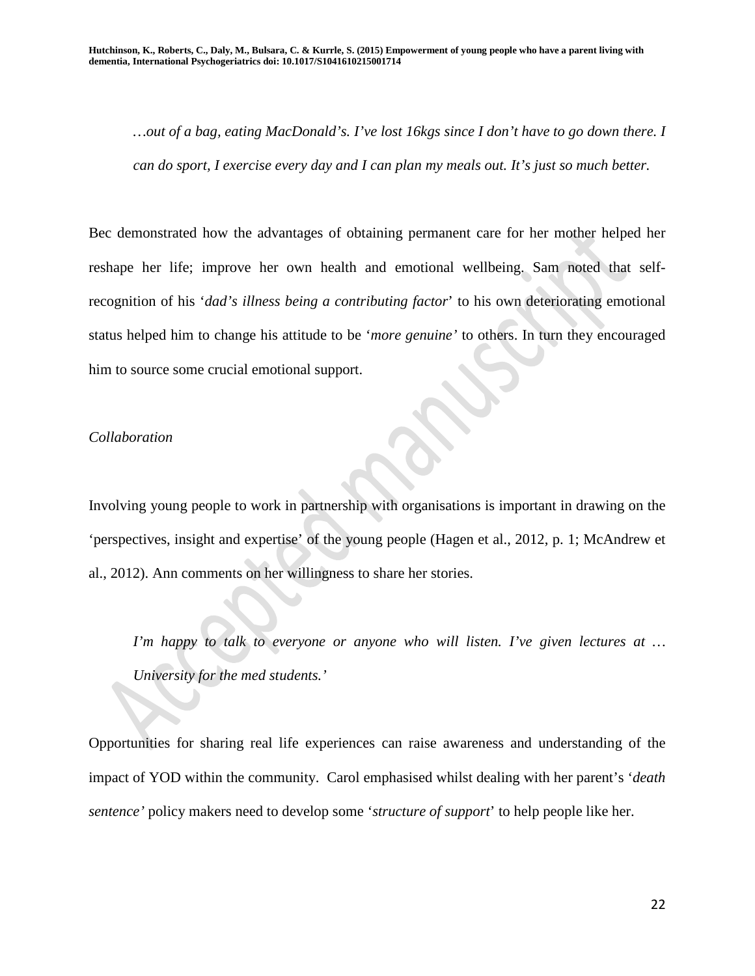*…out of a bag, eating MacDonald's. I've lost 16kgs since I don't have to go down there. I can do sport, I exercise every day and I can plan my meals out. It's just so much better.*

Bec demonstrated how the advantages of obtaining permanent care for her mother helped her reshape her life; improve her own health and emotional wellbeing. Sam noted that selfrecognition of his '*dad's illness being a contributing factor*' to his own deteriorating emotional status helped him to change his attitude to be '*more genuine'* to others. In turn they encouraged him to source some crucial emotional support.

### *Collaboration*

Involving young people to work in partnership with organisations is important in drawing on the 'perspectives, insight and expertise' of the young people (Hagen et al., 2012, p. 1; McAndrew et al., 2012). Ann comments on her willingness to share her stories.

*I'm happy to talk to everyone or anyone who will listen. I've given lectures at … University for the med students.'*

Opportunities for sharing real life experiences can raise awareness and understanding of the impact of YOD within the community. Carol emphasised whilst dealing with her parent's '*death sentence'* policy makers need to develop some '*structure of support*' to help people like her.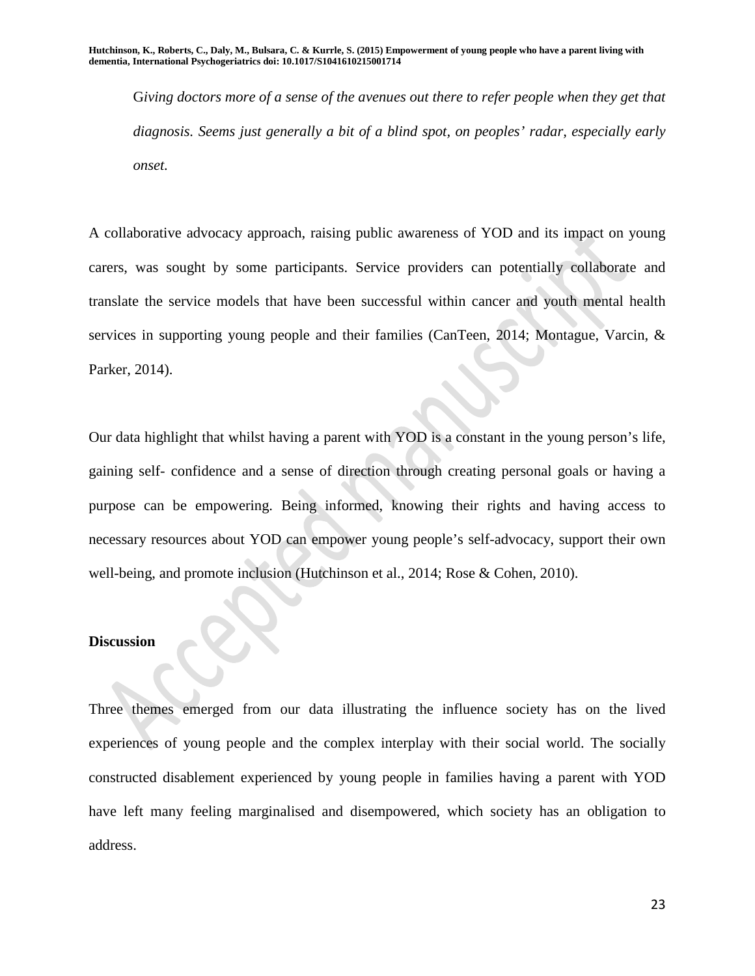G*iving doctors more of a sense of the avenues out there to refer people when they get that diagnosis. Seems just generally a bit of a blind spot, on peoples' radar, especially early onset.*

A collaborative advocacy approach, raising public awareness of YOD and its impact on young carers, was sought by some participants. Service providers can potentially collaborate and translate the service models that have been successful within cancer and youth mental health services in supporting young people and their families (CanTeen, 2014; Montague, Varcin, & Parker, 2014).

Our data highlight that whilst having a parent with YOD is a constant in the young person's life, gaining self- confidence and a sense of direction through creating personal goals or having a purpose can be empowering. Being informed, knowing their rights and having access to necessary resources about YOD can empower young people's self-advocacy, support their own well-being, and promote inclusion (Hutchinson et al., 2014; Rose & Cohen, 2010).

### **Discussion**

Three themes emerged from our data illustrating the influence society has on the lived experiences of young people and the complex interplay with their social world. The socially constructed disablement experienced by young people in families having a parent with YOD have left many feeling marginalised and disempowered, which society has an obligation to address.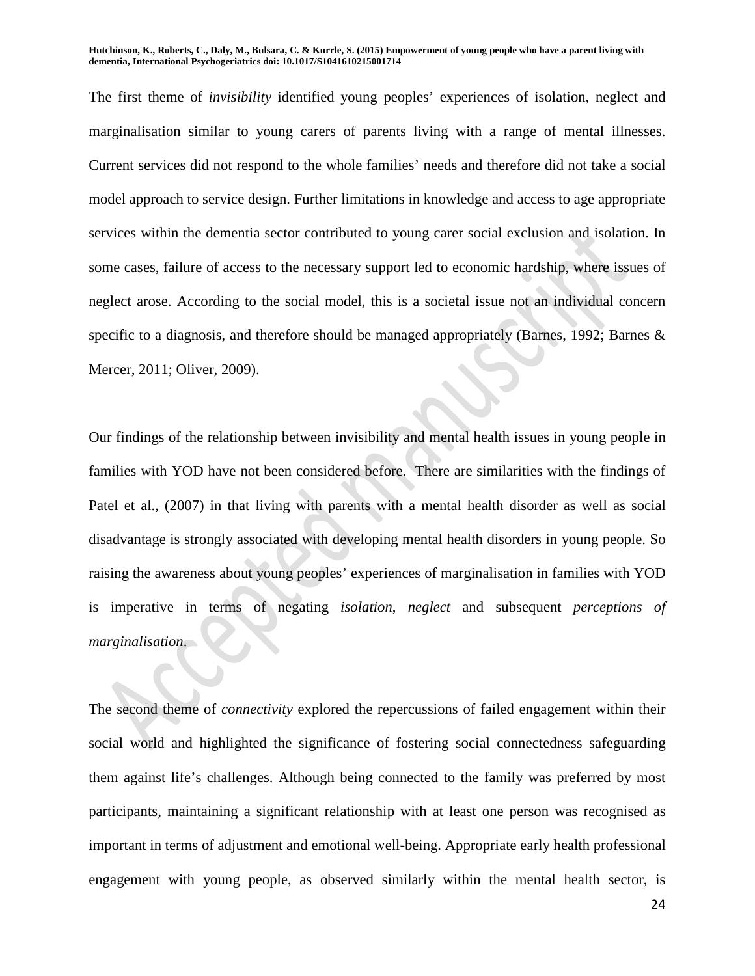The first theme of *invisibility* identified young peoples' experiences of isolation, neglect and marginalisation similar to young carers of parents living with a range of mental illnesses. Current services did not respond to the whole families' needs and therefore did not take a social model approach to service design. Further limitations in knowledge and access to age appropriate services within the dementia sector contributed to young carer social exclusion and isolation. In some cases, failure of access to the necessary support led to economic hardship, where issues of neglect arose. According to the social model, this is a societal issue not an individual concern specific to a diagnosis, and therefore should be managed appropriately (Barnes, 1992; Barnes & Mercer, 2011; Oliver, 2009).

Our findings of the relationship between invisibility and mental health issues in young people in families with YOD have not been considered before. There are similarities with the findings of Patel et al., (2007) in that living with parents with a mental health disorder as well as social disadvantage is strongly associated with developing mental health disorders in young people. So raising the awareness about young peoples' experiences of marginalisation in families with YOD is imperative in terms of negating *isolation*, *neglect* and subsequent *perceptions of marginalisation*.

The second theme of *connectivity* explored the repercussions of failed engagement within their social world and highlighted the significance of fostering social connectedness safeguarding them against life's challenges. Although being connected to the family was preferred by most participants, maintaining a significant relationship with at least one person was recognised as important in terms of adjustment and emotional well-being. Appropriate early health professional engagement with young people, as observed similarly within the mental health sector, is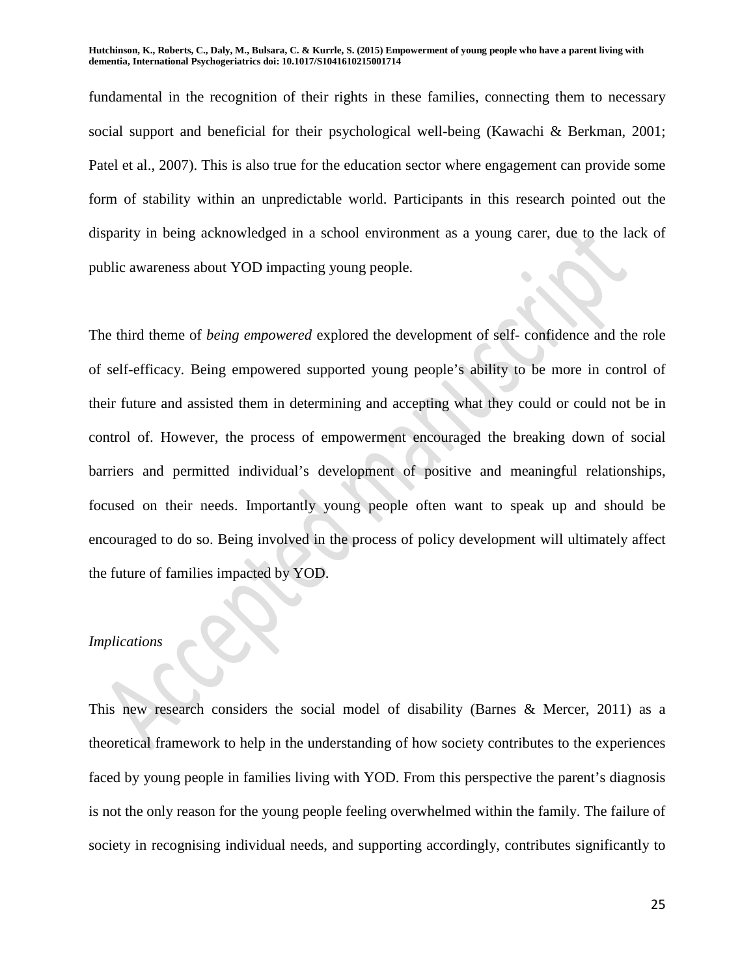fundamental in the recognition of their rights in these families, connecting them to necessary social support and beneficial for their psychological well-being (Kawachi & Berkman, 2001; Patel et al., 2007). This is also true for the education sector where engagement can provide some form of stability within an unpredictable world. Participants in this research pointed out the disparity in being acknowledged in a school environment as a young carer, due to the lack of public awareness about YOD impacting young people.

The third theme of *being empowered* explored the development of self- confidence and the role of self-efficacy. Being empowered supported young people's ability to be more in control of their future and assisted them in determining and accepting what they could or could not be in control of. However, the process of empowerment encouraged the breaking down of social barriers and permitted individual's development of positive and meaningful relationships, focused on their needs. Importantly young people often want to speak up and should be encouraged to do so. Being involved in the process of policy development will ultimately affect the future of families impacted by YOD.

#### *Implications*

This new research considers the social model of disability (Barnes & Mercer, 2011) as a theoretical framework to help in the understanding of how society contributes to the experiences faced by young people in families living with YOD. From this perspective the parent's diagnosis is not the only reason for the young people feeling overwhelmed within the family. The failure of society in recognising individual needs, and supporting accordingly, contributes significantly to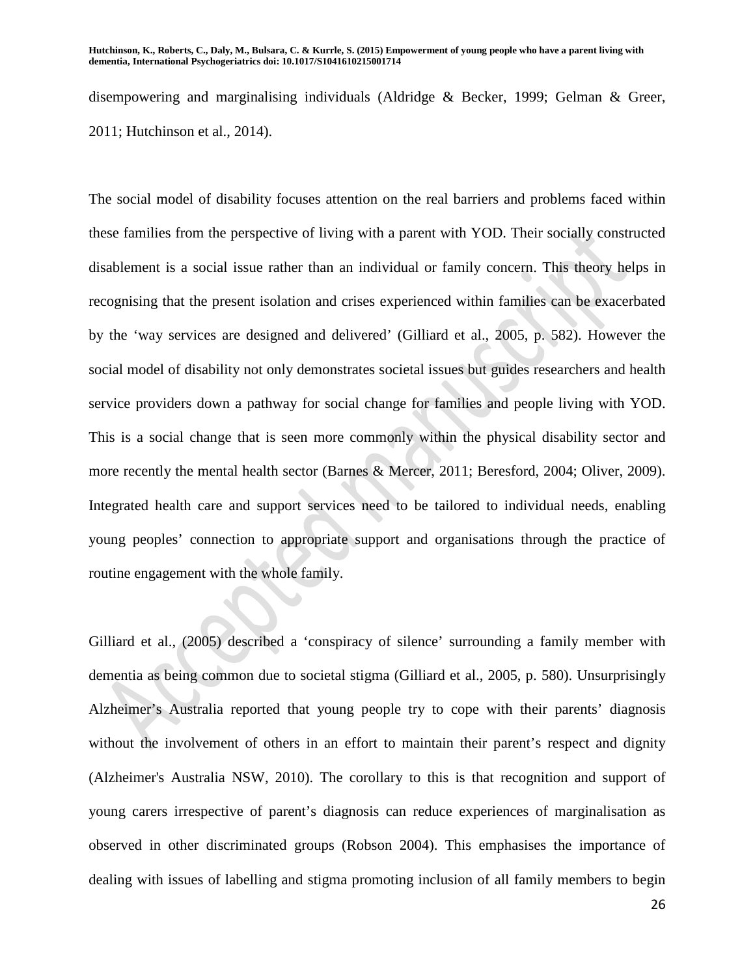disempowering and marginalising individuals (Aldridge & Becker, 1999; Gelman & Greer, 2011; Hutchinson et al., 2014).

The social model of disability focuses attention on the real barriers and problems faced within these families from the perspective of living with a parent with YOD. Their socially constructed disablement is a social issue rather than an individual or family concern. This theory helps in recognising that the present isolation and crises experienced within families can be exacerbated by the 'way services are designed and delivered' (Gilliard et al., 2005, p. 582). However the social model of disability not only demonstrates societal issues but guides researchers and health service providers down a pathway for social change for families and people living with YOD. This is a social change that is seen more commonly within the physical disability sector and more recently the mental health sector (Barnes & Mercer, 2011; Beresford, 2004; Oliver, 2009). Integrated health care and support services need to be tailored to individual needs, enabling young peoples' connection to appropriate support and organisations through the practice of routine engagement with the whole family.

Gilliard et al., (2005) described a 'conspiracy of silence' surrounding a family member with dementia as being common due to societal stigma (Gilliard et al., 2005, p. 580). Unsurprisingly Alzheimer's Australia reported that young people try to cope with their parents' diagnosis without the involvement of others in an effort to maintain their parent's respect and dignity (Alzheimer's Australia NSW, 2010). The corollary to this is that recognition and support of young carers irrespective of parent's diagnosis can reduce experiences of marginalisation as observed in other discriminated groups (Robson 2004). This emphasises the importance of dealing with issues of labelling and stigma promoting inclusion of all family members to begin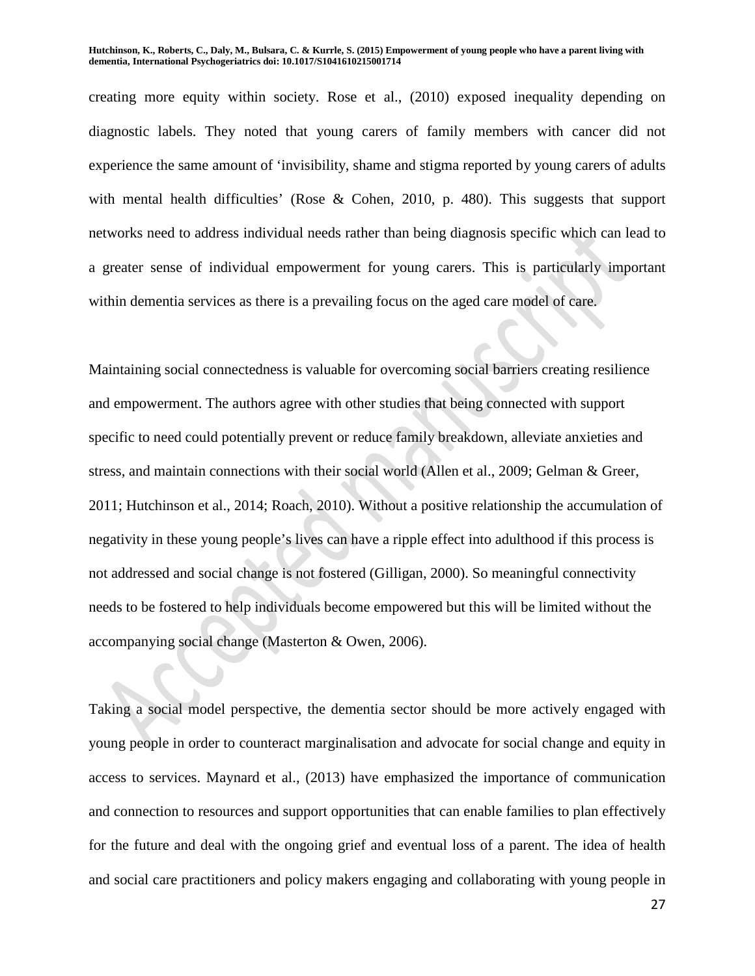creating more equity within society. Rose et al., (2010) exposed inequality depending on diagnostic labels. They noted that young carers of family members with cancer did not experience the same amount of 'invisibility, shame and stigma reported by young carers of adults with mental health difficulties' (Rose & Cohen, 2010, p. 480). This suggests that support networks need to address individual needs rather than being diagnosis specific which can lead to a greater sense of individual empowerment for young carers. This is particularly important within dementia services as there is a prevailing focus on the aged care model of care.

Maintaining social connectedness is valuable for overcoming social barriers creating resilience and empowerment. The authors agree with other studies that being connected with support specific to need could potentially prevent or reduce family breakdown, alleviate anxieties and stress, and maintain connections with their social world (Allen et al., 2009; Gelman & Greer, 2011; Hutchinson et al., 2014; Roach, 2010). Without a positive relationship the accumulation of negativity in these young people's lives can have a ripple effect into adulthood if this process is not addressed and social change is not fostered (Gilligan, 2000). So meaningful connectivity needs to be fostered to help individuals become empowered but this will be limited without the accompanying social change (Masterton & Owen, 2006).

Taking a social model perspective, the dementia sector should be more actively engaged with young people in order to counteract marginalisation and advocate for social change and equity in access to services. Maynard et al., (2013) have emphasized the importance of communication and connection to resources and support opportunities that can enable families to plan effectively for the future and deal with the ongoing grief and eventual loss of a parent. The idea of health and social care practitioners and policy makers engaging and collaborating with young people in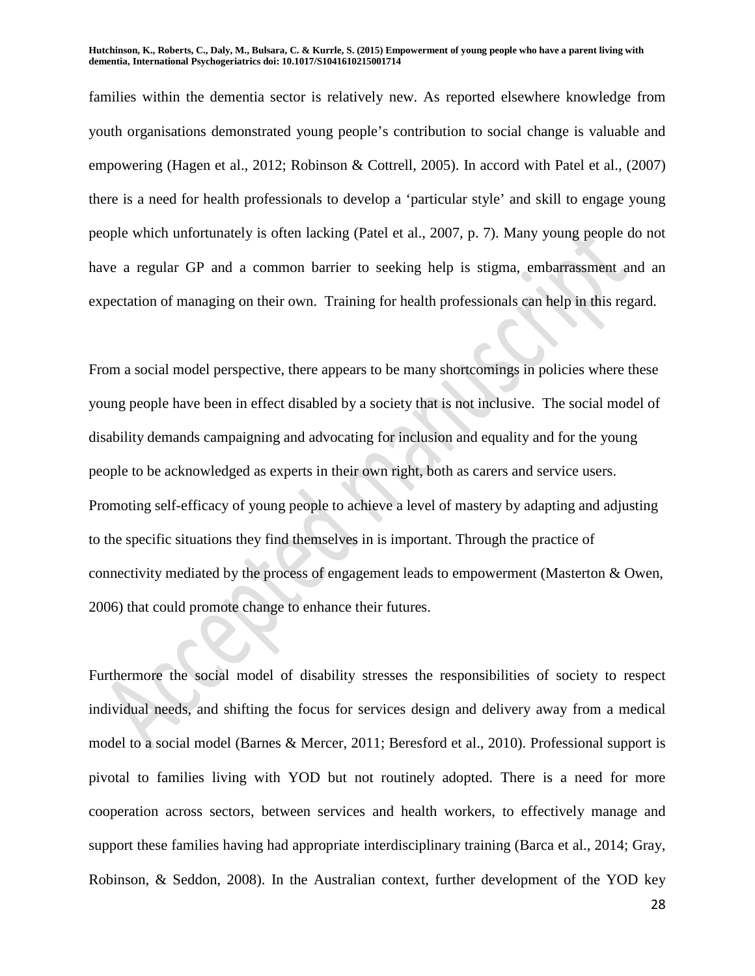families within the dementia sector is relatively new. As reported elsewhere knowledge from youth organisations demonstrated young people's contribution to social change is valuable and empowering (Hagen et al., 2012; Robinson & Cottrell, 2005). In accord with Patel et al., (2007) there is a need for health professionals to develop a 'particular style' and skill to engage young people which unfortunately is often lacking (Patel et al., 2007, p. 7). Many young people do not have a regular GP and a common barrier to seeking help is stigma, embarrassment and an expectation of managing on their own. Training for health professionals can help in this regard.

From a social model perspective, there appears to be many shortcomings in policies where these young people have been in effect disabled by a society that is not inclusive. The social model of disability demands campaigning and advocating for inclusion and equality and for the young people to be acknowledged as experts in their own right, both as carers and service users. Promoting self-efficacy of young people to achieve a level of mastery by adapting and adjusting to the specific situations they find themselves in is important. Through the practice of connectivity mediated by the process of engagement leads to empowerment (Masterton & Owen, 2006) that could promote change to enhance their futures.

Furthermore the social model of disability stresses the responsibilities of society to respect individual needs, and shifting the focus for services design and delivery away from a medical model to a social model (Barnes & Mercer, 2011; Beresford et al., 2010). Professional support is pivotal to families living with YOD but not routinely adopted. There is a need for more cooperation across sectors, between services and health workers, to effectively manage and support these families having had appropriate interdisciplinary training (Barca et al., 2014; Gray, Robinson, & Seddon, 2008). In the Australian context, further development of the YOD key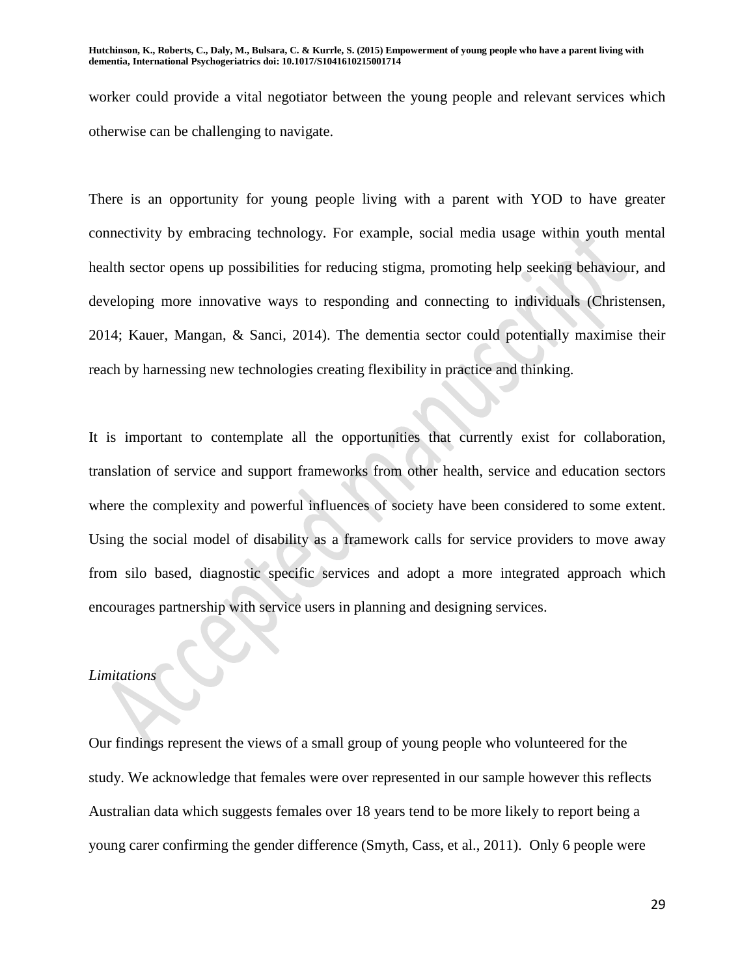worker could provide a vital negotiator between the young people and relevant services which otherwise can be challenging to navigate.

There is an opportunity for young people living with a parent with YOD to have greater connectivity by embracing technology. For example, social media usage within youth mental health sector opens up possibilities for reducing stigma, promoting help seeking behaviour, and developing more innovative ways to responding and connecting to individuals (Christensen, 2014; Kauer, Mangan, & Sanci, 2014). The dementia sector could potentially maximise their reach by harnessing new technologies creating flexibility in practice and thinking.

It is important to contemplate all the opportunities that currently exist for collaboration, translation of service and support frameworks from other health, service and education sectors where the complexity and powerful influences of society have been considered to some extent. Using the social model of disability as a framework calls for service providers to move away from silo based, diagnostic specific services and adopt a more integrated approach which encourages partnership with service users in planning and designing services.

#### *Limitations*

Our findings represent the views of a small group of young people who volunteered for the study. We acknowledge that females were over represented in our sample however this reflects Australian data which suggests females over 18 years tend to be more likely to report being a young carer confirming the gender difference (Smyth, Cass, et al., 2011). Only 6 people were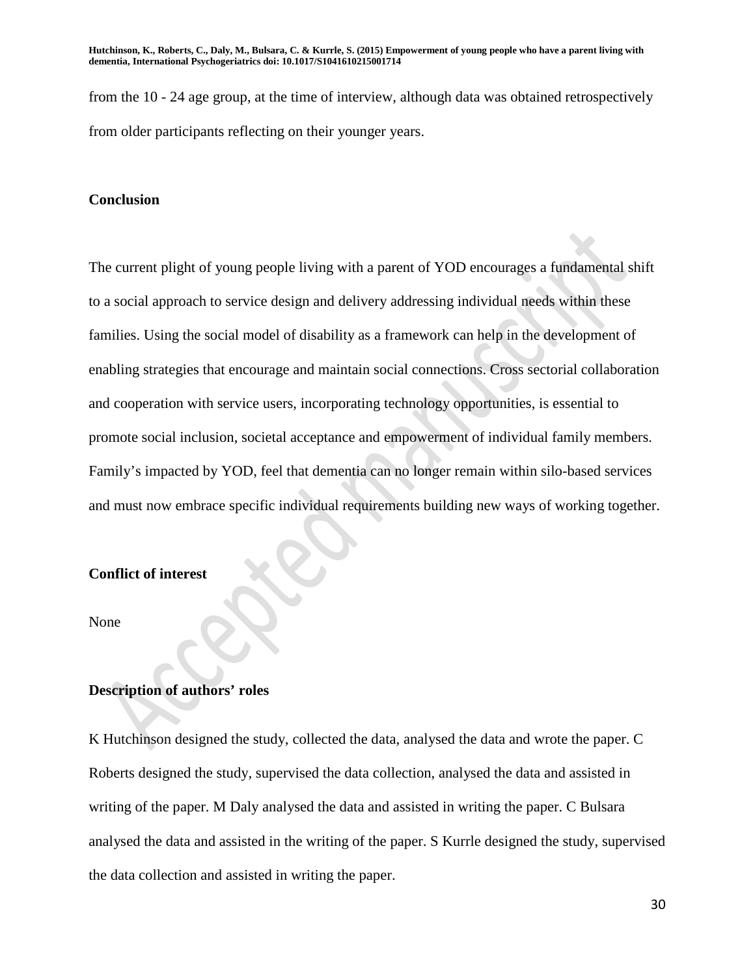from the 10 - 24 age group, at the time of interview, although data was obtained retrospectively from older participants reflecting on their younger years.

### **Conclusion**

The current plight of young people living with a parent of YOD encourages a fundamental shift to a social approach to service design and delivery addressing individual needs within these families. Using the social model of disability as a framework can help in the development of enabling strategies that encourage and maintain social connections. Cross sectorial collaboration and cooperation with service users, incorporating technology opportunities, is essential to promote social inclusion, societal acceptance and empowerment of individual family members. Family's impacted by YOD, feel that dementia can no longer remain within silo-based services and must now embrace specific individual requirements building new ways of working together.

## **Conflict of interest**

None

### **Description of authors' roles**

K Hutchinson designed the study, collected the data, analysed the data and wrote the paper. C Roberts designed the study, supervised the data collection, analysed the data and assisted in writing of the paper. M Daly analysed the data and assisted in writing the paper. C Bulsara analysed the data and assisted in the writing of the paper. S Kurrle designed the study, supervised the data collection and assisted in writing the paper.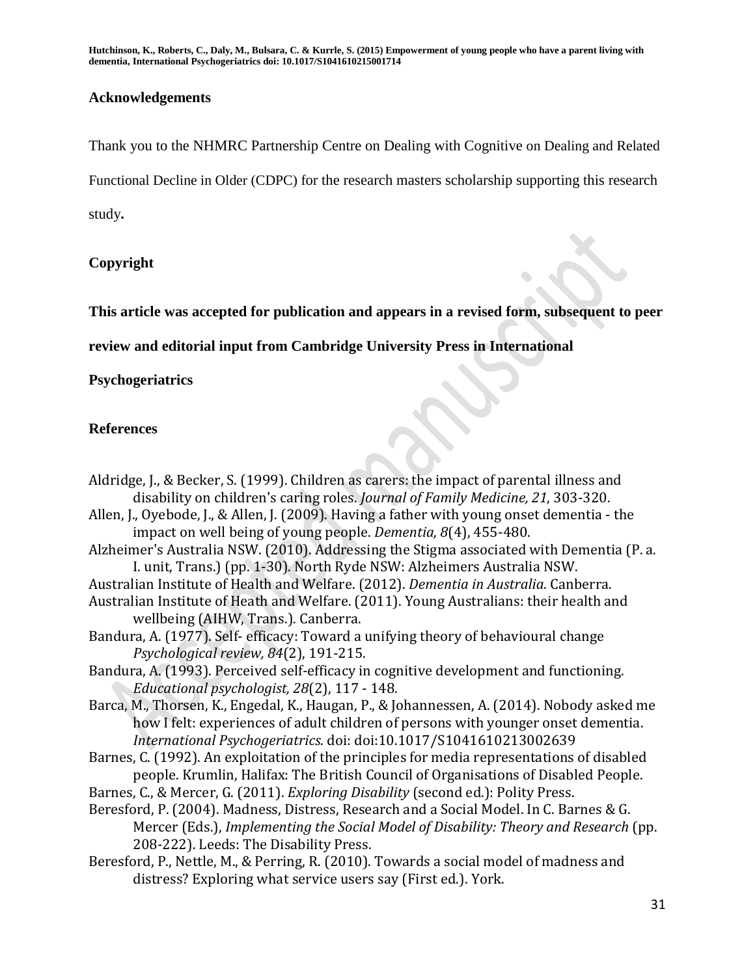## **Acknowledgements**

Thank you to the NHMRC Partnership Centre on Dealing with Cognitive on Dealing and Related Functional Decline in Older (CDPC) for the research masters scholarship supporting this research study**.**

## **Copyright**

**This article was accepted for publication and appears in a revised form, subsequent to peer** 

**review and editorial input from Cambridge University Press in International** 

## **Psychogeriatrics**

## **References**

31 Aldridge, J., & Becker, S. (1999). Children as carers: the impact of parental illness and disability on children's caring roles. *Journal of Family Medicine, 21*, 303-320. Allen, J., Oyebode, J., & Allen, J. (2009). Having a father with young onset dementia - the impact on well being of young people. *Dementia, 8*(4), 455-480. Alzheimer's Australia NSW. (2010). Addressing the Stigma associated with Dementia (P. a. I. unit, Trans.) (pp. 1-30). North Ryde NSW: Alzheimers Australia NSW. Australian Institute of Health and Welfare. (2012). *Dementia in Australia*. Canberra. Australian Institute of Heath and Welfare. (2011). Young Australians: their health and wellbeing (AIHW, Trans.). Canberra. Bandura, A. (1977). Self- efficacy: Toward a unifying theory of behavioural change *Psychological review, 84*(2), 191-215. Bandura, A. (1993). Perceived self-efficacy in cognitive development and functioning. *Educational psychologist, 28*(2), 117 - 148. Barca, M., Thorsen, K., Engedal, K., Haugan, P., & Johannessen, A. (2014). Nobody asked me how I felt: experiences of adult children of persons with younger onset dementia. *International Psychogeriatrics*. doi: doi:10.1017/S1041610213002639 Barnes, C. (1992). An exploitation of the principles for media representations of disabled people. Krumlin, Halifax: The British Council of Organisations of Disabled People. Barnes, C., & Mercer, G. (2011). *Exploring Disability* (second ed.): Polity Press. Beresford, P. (2004). Madness, Distress, Research and a Social Model. In C. Barnes & G. Mercer (Eds.), *Implementing the Social Model of Disability: Theory and Research* (pp. 208-222). Leeds: The Disability Press. Beresford, P., Nettle, M., & Perring, R. (2010). Towards a social model of madness and distress? Exploring what service users say (First ed.). York.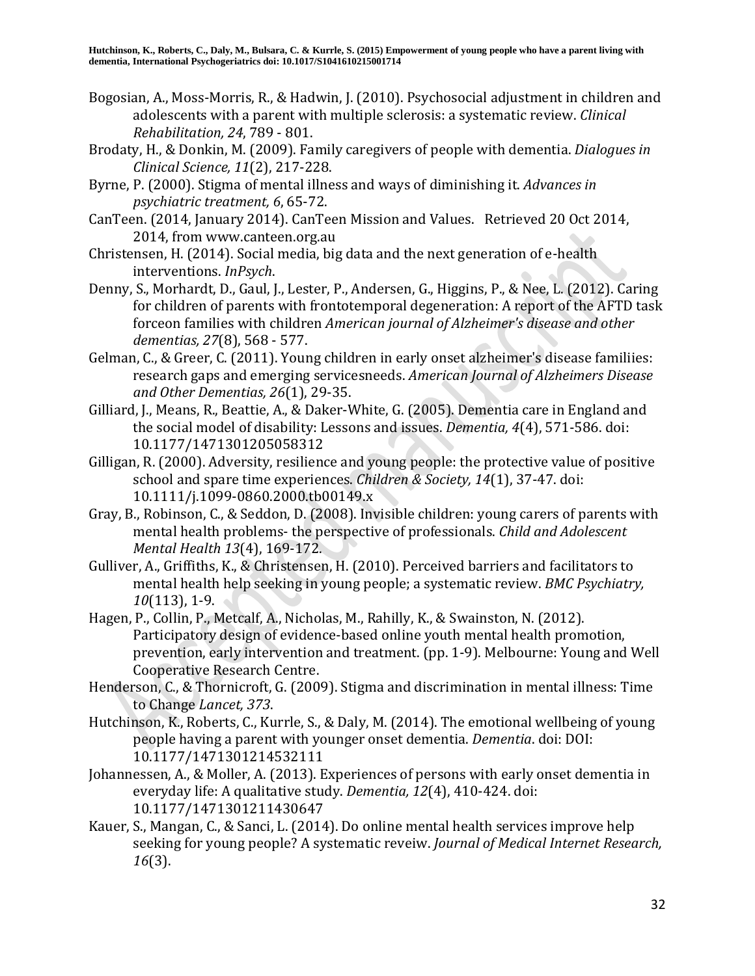- Bogosian, A., Moss-Morris, R., & Hadwin, J. (2010). Psychosocial adjustment in children and adolescents with a parent with multiple sclerosis: a systematic review. *Clinical Rehabilitation, 24*, 789 - 801.
- Brodaty, H., & Donkin, M. (2009). Family caregivers of people with dementia. *Dialogues in Clinical Science, 11*(2), 217-228.
- Byrne, P. (2000). Stigma of mental illness and ways of diminishing it. *Advances in psychiatric treatment, 6*, 65-72.
- CanTeen. (2014, January 2014). CanTeen Mission and Values. Retrieved 20 Oct 2014, 2014, from www.canteen.org.au
- Christensen, H. (2014). Social media, big data and the next generation of e-health interventions. *InPsych*.
- Denny, S., Morhardt, D., Gaul, J., Lester, P., Andersen, G., Higgins, P., & Nee, L. (2012). Caring for children of parents with frontotemporal degeneration: A report of the AFTD task forceon families with children *American journal of Alzheimer's disease and other dementias, 27*(8), 568 - 577.
- Gelman, C., & Greer, C. (2011). Young children in early onset alzheimer's disease familiies: research gaps and emerging servicesneeds. *American Journal of Alzheimers Disease and Other Dementias, 26*(1), 29-35.
- Gilliard, J., Means, R., Beattie, A., & Daker-White, G. (2005). Dementia care in England and the social model of disability: Lessons and issues. *Dementia, 4*(4), 571-586. doi: 10.1177/1471301205058312
- Gilligan, R. (2000). Adversity, resilience and young people: the protective value of positive school and spare time experiences. *Children & Society, 14*(1), 37-47. doi: 10.1111/j.1099-0860.2000.tb00149.x
- Gray, B., Robinson, C., & Seddon, D. (2008). Invisible children: young carers of parents with mental health problems- the perspective of professionals. *Child and Adolescent Mental Health 13*(4), 169-172.
- Gulliver, A., Griffiths, K., & Christensen, H. (2010). Perceived barriers and facilitators to mental health help seeking in young people; a systematic review. *BMC Psychiatry, 10*(113), 1-9.
- Hagen, P., Collin, P., Metcalf, A., Nicholas, M., Rahilly, K., & Swainston, N. (2012). Participatory design of evidence-based online youth mental health promotion, prevention, early intervention and treatment. (pp. 1-9). Melbourne: Young and Well Cooperative Research Centre.
- Henderson, C., & Thornicroft, G. (2009). Stigma and discrimination in mental illness: Time to Change *Lancet, 373*.
- Hutchinson, K., Roberts, C., Kurrle, S., & Daly, M. (2014). The emotional wellbeing of young people having a parent with younger onset dementia. *Dementia*. doi: DOI: 10.1177/1471301214532111
- Johannessen, A., & Moller, A. (2013). Experiences of persons with early onset dementia in everyday life: A qualitative study. *Dementia, 12*(4), 410-424. doi: 10.1177/1471301211430647
- Kauer, S., Mangan, C., & Sanci, L. (2014). Do online mental health services improve help seeking for young people? A systematic reveiw. *Journal of Medical Internet Research, 16*(3).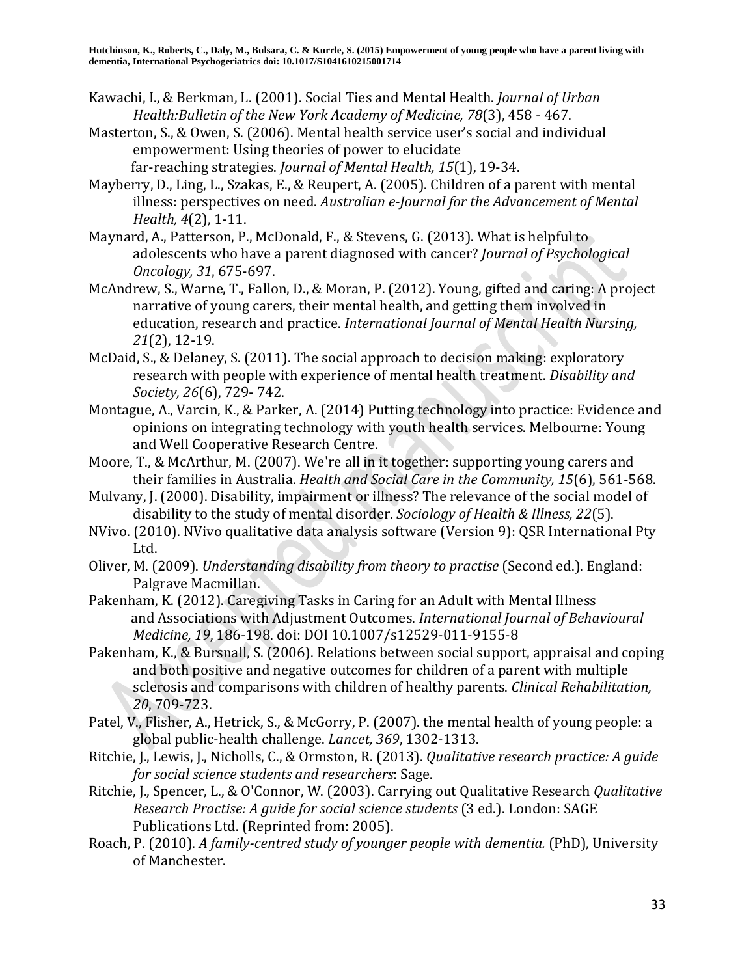- Kawachi, I., & Berkman, L. (2001). Social Ties and Mental Health. *Journal of Urban Health:Bulletin of the New York Academy of Medicine, 78*(3), 458 - 467.
- Masterton, S., & Owen, S. (2006). Mental health service user's social and individual empowerment: Using theories of power to elucidate far-reaching strategies. *Journal of Mental Health, 15*(1), 19-34.
- Mayberry, D., Ling, L., Szakas, E., & Reupert, A. (2005). Children of a parent with mental illness: perspectives on need. *Australian e-Journal for the Advancement of Mental Health, 4*(2), 1-11.
- Maynard, A., Patterson, P., McDonald, F., & Stevens, G. (2013). What is helpful to adolescents who have a parent diagnosed with cancer? *Journal of Psychological Oncology, 31*, 675-697.
- McAndrew, S., Warne, T., Fallon, D., & Moran, P. (2012). Young, gifted and caring: A project narrative of young carers, their mental health, and getting them involved in education, research and practice. *International Journal of Mental Health Nursing, 21*(2), 12-19.
- McDaid, S., & Delaney, S. (2011). The social approach to decision making: exploratory research with people with experience of mental health treatment. *Disability and Society, 26*(6), 729- 742.
- Montague, A., Varcin, K., & Parker, A. (2014) Putting technology into practice: Evidence and opinions on integrating technology with youth health services. Melbourne: Young and Well Cooperative Research Centre.
- Moore, T., & McArthur, M. (2007). We're all in it together: supporting young carers and their families in Australia. *Health and Social Care in the Community, 15*(6), 561-568.
- Mulvany, J. (2000). Disability, impairment or illness? The relevance of the social model of disability to the study of mental disorder. *Sociology of Health & Illness, 22*(5).
- NVivo. (2010). NVivo qualitative data analysis software (Version 9): QSR International Pty Ltd.
- Oliver, M. (2009). *Understanding disability from theory to practise* (Second ed.). England: Palgrave Macmillan.
- Pakenham, K. (2012). Caregiving Tasks in Caring for an Adult with Mental Illness and Associations with Adjustment Outcomes. *International Journal of Behavioural Medicine, 19*, 186-198. doi: DOI 10.1007/s12529-011-9155-8
- Pakenham, K., & Bursnall, S. (2006). Relations between social support, appraisal and coping and both positive and negative outcomes for children of a parent with multiple sclerosis and comparisons with children of healthy parents. *Clinical Rehabilitation, 20*, 709-723.
- Patel, V., Flisher, A., Hetrick, S., & McGorry, P. (2007). the mental health of young people: a global public-health challenge. *Lancet, 369*, 1302-1313.
- Ritchie, J., Lewis, J., Nicholls, C., & Ormston, R. (2013). *Qualitative research practice: A guide for social science students and researchers*: Sage.
- Ritchie, J., Spencer, L., & O'Connor, W. (2003). Carrying out Qualitative Research *Qualitative Research Practise: A guide for social science students* (3 ed.). London: SAGE Publications Ltd. (Reprinted from: 2005).
- Roach, P. (2010). *A family-centred study of younger people with dementia.* (PhD), University of Manchester.